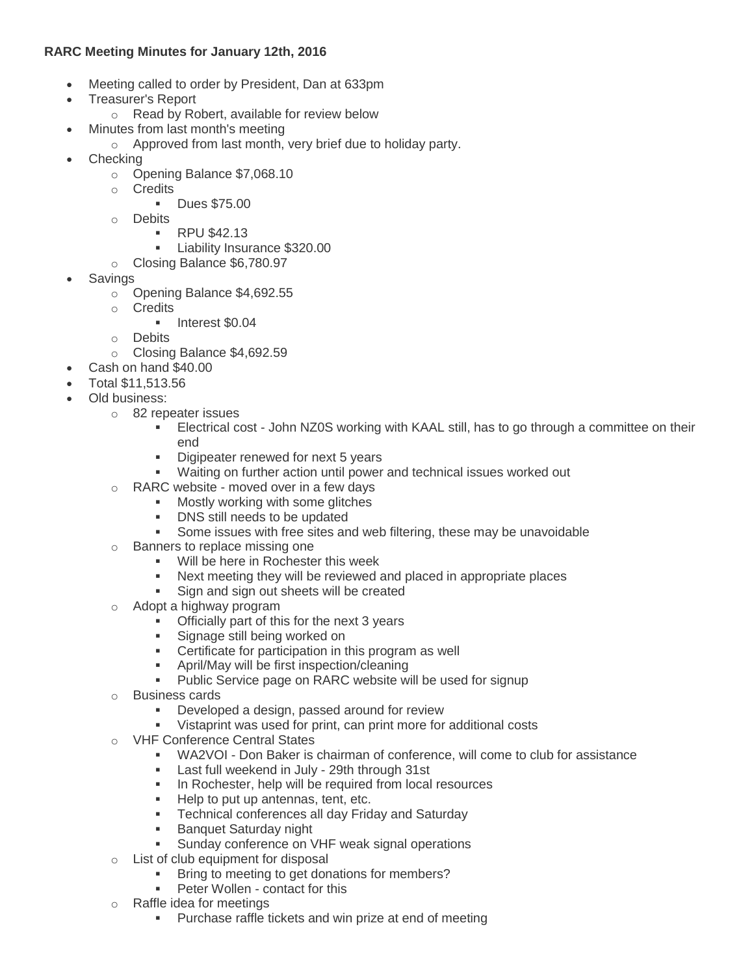# **RARC Meeting Minutes for January 12th, 2016**

- Meeting called to order by President, Dan at 633pm
- Treasurer's Report
	- o Read by Robert, available for review below
- Minutes from last month's meeting
	- o Approved from last month, very brief due to holiday party.
- Checking
	- o Opening Balance \$7,068.10
	- o Credits
		- **Dues \$75.00**
	- o Debits
		- **RPU \$42.13**
		- **Liability Insurance \$320.00**
	- o Closing Balance \$6,780.97
- Savings
	- o Opening Balance \$4,692.55
	- o Credits
		- **Interest \$0.04**
	- o Debits
	- o Closing Balance \$4,692.59
- Cash on hand \$40.00
- Total \$11,513.56
- Old business:
	- o 82 repeater issues
		- Electrical cost John NZ0S working with KAAL still, has to go through a committee on their end
		- Digipeater renewed for next 5 years
		- Waiting on further action until power and technical issues worked out
	- o RARC website moved over in a few days
		- **Mostly working with some glitches** 
			- DNS still needs to be updated
			- Some issues with free sites and web filtering, these may be unavoidable
	- o Banners to replace missing one
		- **Will be here in Rochester this week**
		- Next meeting they will be reviewed and placed in appropriate places
		- Sign and sign out sheets will be created
	- o Adopt a highway program
		- Officially part of this for the next 3 years
		- **Signage still being worked on**
		- **EXEC** Certificate for participation in this program as well
		- April/May will be first inspection/cleaning
		- **Public Service page on RARC website will be used for signup**
	- o Business cards
		- **Developed a design, passed around for review**
		- Vistaprint was used for print, can print more for additional costs
	- o VHF Conference Central States
		- WA2VOI Don Baker is chairman of conference, will come to club for assistance
		- Last full weekend in July 29th through 31st
		- **In Rochester, help will be required from local resources**
		- Help to put up antennas, tent, etc.
		- **Fig. 3** Technical conferences all day Friday and Saturday
		- **Banquet Saturday night**
		- Sunday conference on VHF weak signal operations
	- o List of club equipment for disposal
		- **Bring to meeting to get donations for members?**
		- **Peter Wollen contact for this**
	- o Raffle idea for meetings
		- **Purchase raffle tickets and win prize at end of meeting**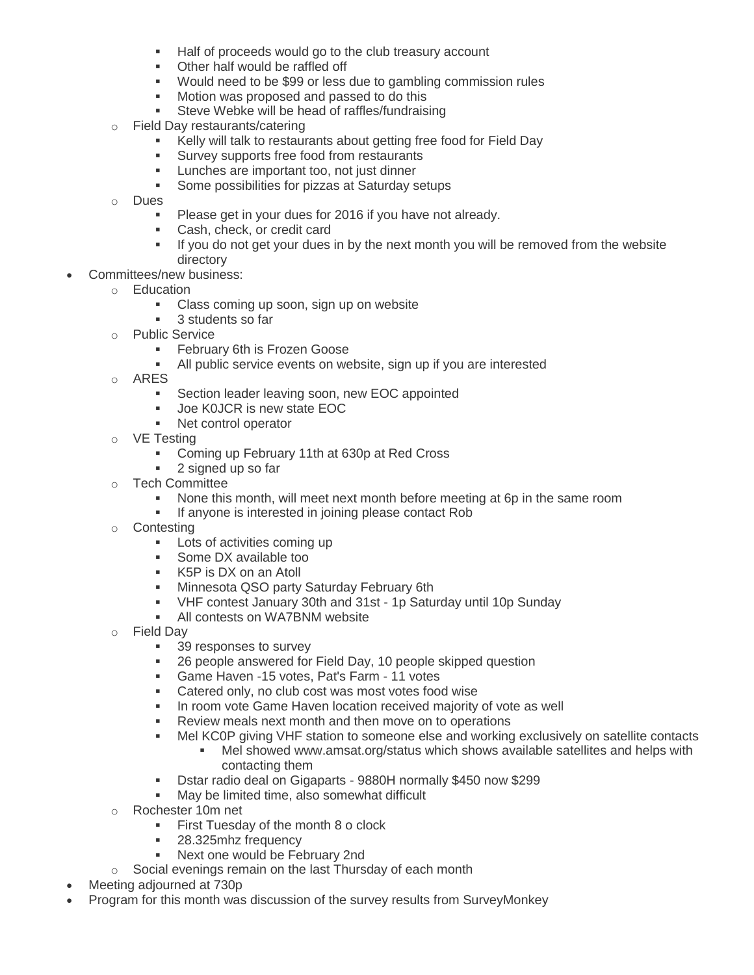- Half of proceeds would go to the club treasury account
- Other half would be raffled off
- Would need to be \$99 or less due to gambling commission rules
- **Motion was proposed and passed to do this**
- Steve Webke will be head of raffles/fundraising
- o Field Day restaurants/catering
	- Kelly will talk to restaurants about getting free food for Field Day
	- **Survey supports free food from restaurants**
	- **Lunches are important too, not just dinner**
	- **Some possibilities for pizzas at Saturday setups**
- o Dues
	- **Please get in your dues for 2016 if you have not already.**
	- **Cash, check, or credit card**
	- If you do not get your dues in by the next month you will be removed from the website directory
- Committees/new business:
	- o Education
		- **Class coming up soon, sign up on website**
		- **3** students so far
	- o Public Service
		- **February 6th is Frozen Goose**
		- All public service events on website, sign up if you are interested
	- o ARES
		- **Section leader leaving soon, new EOC appointed**
		- Joe K0JCR is new state EOC
		- Net control operator
	- o VE Testing
		- **Coming up February 11th at 630p at Red Cross**
		- **2** signed up so far
	- o Tech Committee
		- None this month, will meet next month before meeting at 6p in the same room
		- **If anyone is interested in joining please contact Rob**
	- o Contesting
		- **Lots of activities coming up**
		- **Some DX available too**
		- K5P is DX on an Atoll
		- **Minnesota QSO party Saturday February 6th**
		- VHF contest January 30th and 31st 1p Saturday until 10p Sunday
		- **All contests on WA7BNM website**
	- o Field Day
		- 39 responses to survey
		- 26 people answered for Field Day, 10 people skipped question
		- **Game Haven -15 votes, Pat's Farm 11 votes**
		- **Catered only, no club cost was most votes food wise**
		- **In room vote Game Haven location received majority of vote as well**
		- Review meals next month and then move on to operations
		- Mel KC0P giving VHF station to someone else and working exclusively on satellite contacts
			- Mel showed www.amsat.org/status which shows available satellites and helps with contacting them
		- Dstar radio deal on Gigaparts 9880H normally \$450 now \$299
		- May be limited time, also somewhat difficult
	- o Rochester 10m net
		- **First Tuesday of the month 8 o clock**
		- **28.325mhz frequency**
		- **Next one would be February 2nd**
	- o Social evenings remain on the last Thursday of each month
- Meeting adjourned at 730p
- Program for this month was discussion of the survey results from SurveyMonkey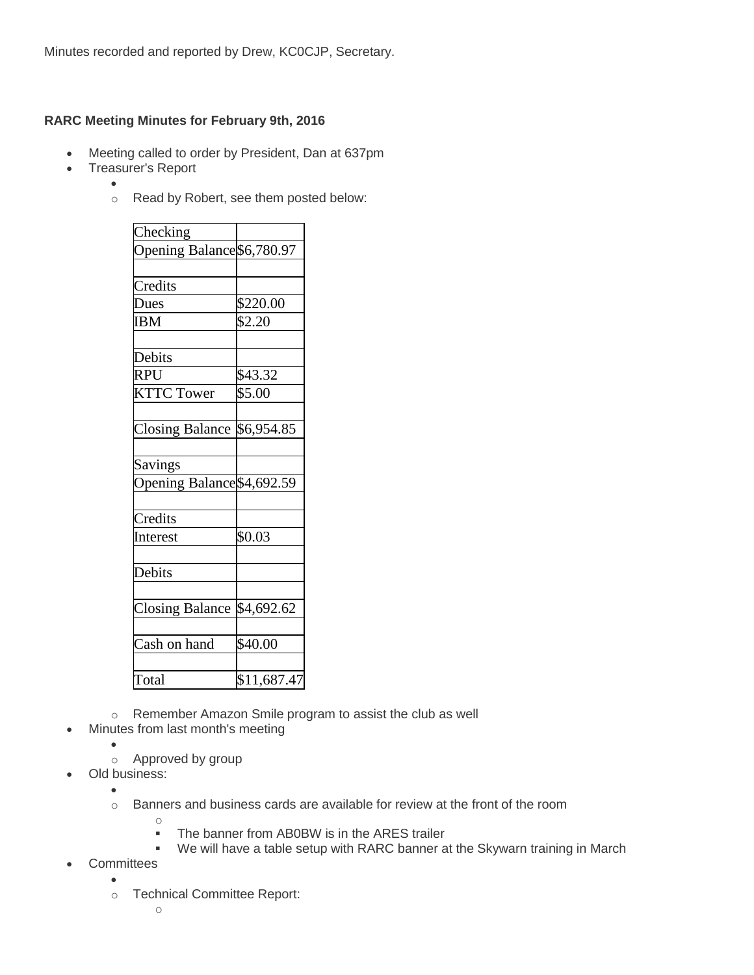# **RARC Meeting Minutes for February 9th, 2016**

- Meeting called to order by President, Dan at 637pm
- Treasurer's Report

 $\bullet$ 

o Read by Robert, see them posted below:

| Checking                   |             |
|----------------------------|-------------|
| Opening Balance \$6,780.97 |             |
|                            |             |
| Credits                    |             |
| Dues                       | \$220.00    |
| <b>IBM</b>                 | \$2.20      |
|                            |             |
| Debits                     |             |
| RPU                        | \$43.32     |
| <b>KTTC Tower</b>          | \$5.00      |
|                            |             |
| <b>Closing Balance</b>     | \$6,954.85  |
|                            |             |
| Savings                    |             |
| Opening Balance \$4,692.59 |             |
|                            |             |
| Credits                    |             |
| Interest                   | \$0.03      |
|                            |             |
| Debits                     |             |
|                            |             |
| <b>Closing Balance</b>     | \$4,692.62  |
|                            |             |
| Cash on hand               | \$40.00     |
|                            |             |
| Total                      | \$11,687.47 |

- o Remember Amazon Smile program to assist the club as well
- Minutes from last month's meeting
	- $\bullet$ o Approved by group

o

- Old business:
	- $\bullet$
	- o Banners and business cards are available for review at the front of the room
		-
- The banner from AB0BW is in the ARES trailer
- We will have a table setup with RARC banner at the Skywarn training in March
- **Committees**  $\bullet$ 
	- o Technical Committee Report: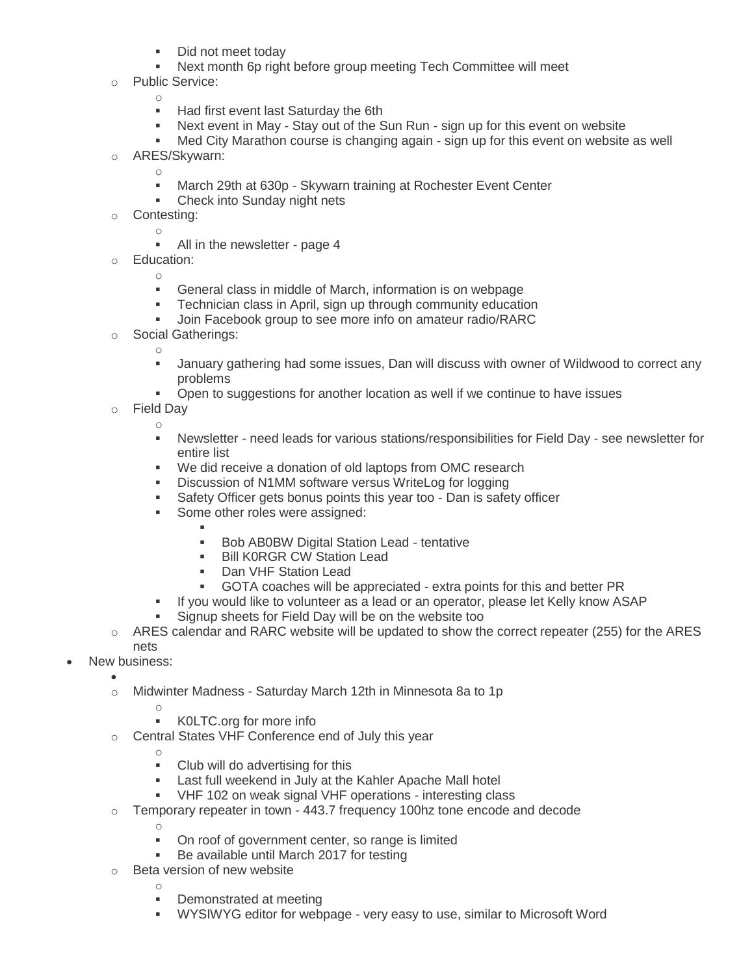- Did not meet today
- Next month 6p right before group meeting Tech Committee will meet
- o Public Service:
	- o
	- Had first event last Saturday the 6th
	- Next event in May Stay out of the Sun Run sign up for this event on website
	- Med City Marathon course is changing again sign up for this event on website as well
- ARES/Skywarn:
	- o **March 29th at 630p - Skywarn training at Rochester Event Center**
	- Check into Sunday night nets
- o Contesting:
	- o

- All in the newsletter page 4
- o Education:
	- General class in middle of March, information is on webpage
	- **FCH** Technician class in April, sign up through community education
	- Join Facebook group to see more info on amateur radio/RARC
- o Social Gatherings:

o

- January gathering had some issues, Dan will discuss with owner of Wildwood to correct any problems
- Open to suggestions for another location as well if we continue to have issues
- o Field Day
	- o
		- Newsletter need leads for various stations/responsibilities for Field Day see newsletter for entire list
		- We did receive a donation of old laptops from OMC research
		- **Discussion of N1MM software versus WriteLog for logging**
		- Safety Officer gets bonus points this year too Dan is safety officer
		- Some other roles were assigned:
			- ı
			- **Bob AB0BW Digital Station Lead tentative**
			- **Bill KORGR CW Station Lead**
			- Dan VHF Station Lead
			- GOTA coaches will be appreciated extra points for this and better PR
		- If you would like to volunteer as a lead or an operator, please let Kelly know ASAP
		- Signup sheets for Field Day will be on the website too
- $\circ$  ARES calendar and RARC website will be updated to show the correct repeater (255) for the ARES nets
- New business:
	- $\bullet$ o Midwinter Madness - Saturday March 12th in Minnesota 8a to 1p
		- o K0LTC.org for more info
	- o Central States VHF Conference end of July this year
		- o
		- **Club will do advertising for this**
		- **EXECT** Last full weekend in July at the Kahler Apache Mall hotel
		- VHF 102 on weak signal VHF operations interesting class
	- $\circ$  Temporary repeater in town 443.7 frequency 100hz tone encode and decode
		- o

- On roof of government center, so range is limited
- Be available until March 2017 for testing
- o Beta version of new website
	- **•** Demonstrated at meeting
	- WYSIWYG editor for webpage very easy to use, similar to Microsoft Word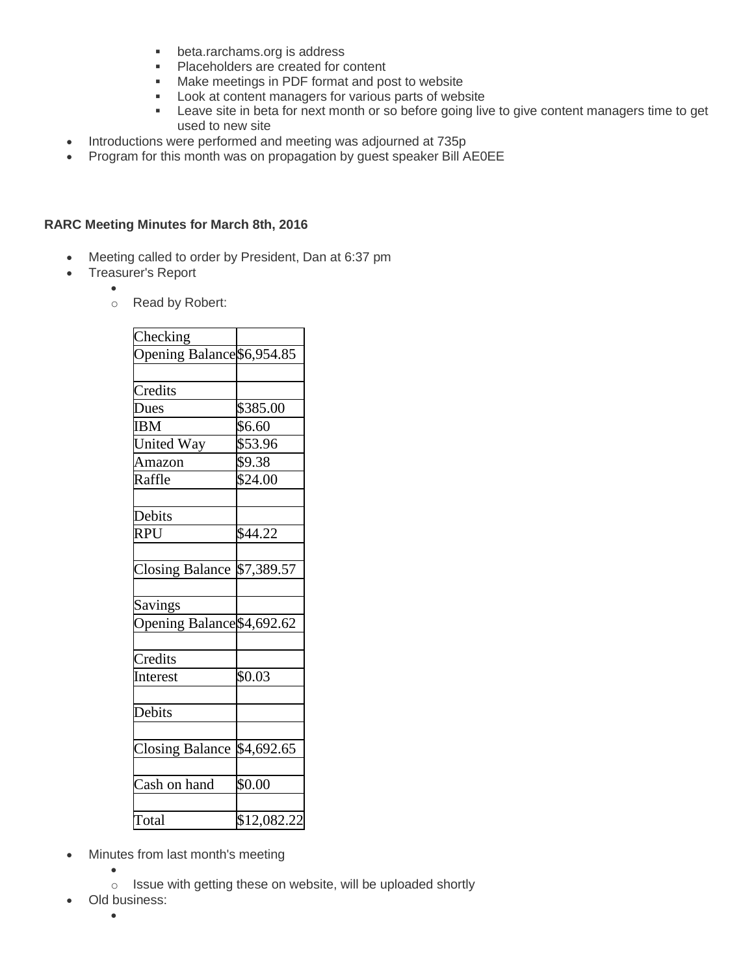- **beta.rarchams.org is address**
- **Placeholders are created for content**
- **Make meetings in PDF format and post to website**
- **Look at content managers for various parts of website**
- **EXECT:** Leave site in beta for next month or so before going live to give content managers time to get used to new site
- Introductions were performed and meeting was adjourned at 735p
- Program for this month was on propagation by guest speaker Bill AE0EE

# **RARC Meeting Minutes for March 8th, 2016**

- Meeting called to order by President, Dan at 6:37 pm
- Treasurer's Report
	- $\bullet$
	- o Read by Robert:

| Checking                   |             |
|----------------------------|-------------|
| Opening Balance \$6,954.85 |             |
|                            |             |
| Credits                    |             |
| Dues                       | \$385.00    |
| <b>IBM</b>                 | \$6.60      |
| <b>United Way</b>          | \$53.96     |
| Amazon                     | \$9.38      |
| Raffle                     | \$24.00     |
|                            |             |
| Debits                     |             |
| <b>RPU</b>                 | \$44.22     |
|                            |             |
| Closing Balance \$7,389.57 |             |
|                            |             |
| Savings                    |             |
| Opening Balance \$4,692.62 |             |
|                            |             |
| Credits                    |             |
| Interest                   | \$0.03      |
| Debits                     |             |
|                            |             |
| <b>Closing Balance</b>     | \$4,692.65  |
|                            |             |
| Cash on hand               | \$0.00      |
| Total                      | \$12,082.22 |

- Minutes from last month's meeting
	- $\bullet$ o Issue with getting these on website, will be uploaded shortly
- Old business:
	- $\bullet$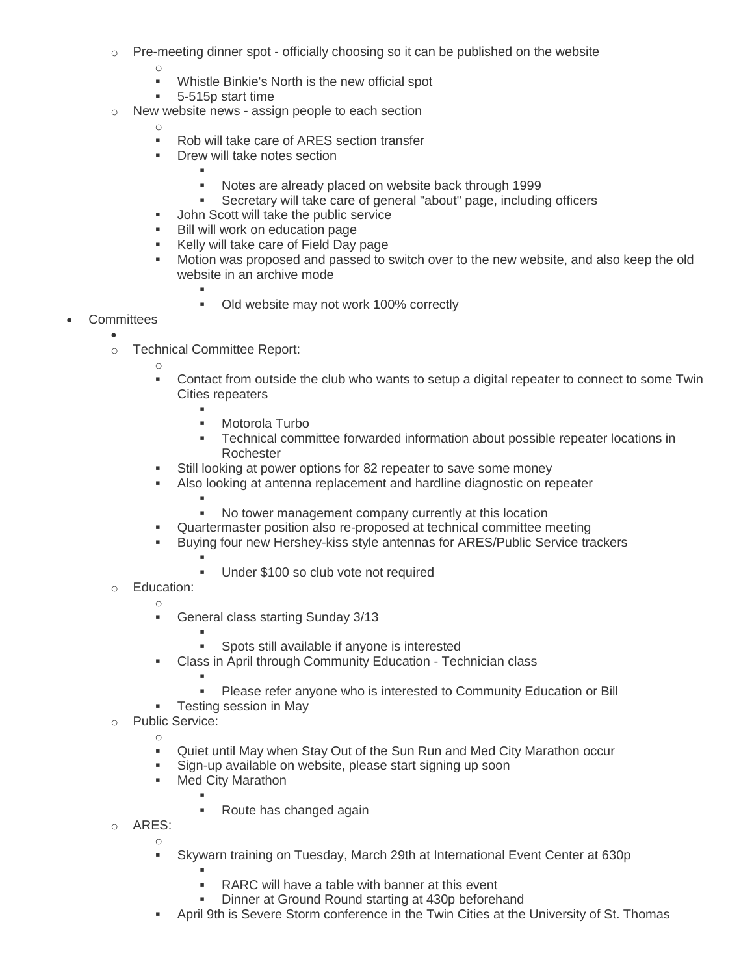- $\circ$  Pre-meeting dinner spot officially choosing so it can be published on the website
	- o
	- Whistle Binkie's North is the new official spot
	- 5-515p start time
- o New website news assign people to each section
	- o
	- Rob will take care of ARES section transfer
	- **Drew will take notes section** 
		- ı Notes are already placed on website back through 1999
		- Secretary will take care of general "about" page, including officers
	- **John Scott will take the public service**
	- **Bill will work on education page**
	- Kelly will take care of Field Day page
	- Motion was proposed and passed to switch over to the new website, and also keep the old website in an archive mode
		-
		- Old website may not work 100% correctly
- **Committees** 
	- $\bullet$ o Technical Committee Report:

F

o

- Contact from outside the club who wants to setup a digital repeater to connect to some Twin Cities repeaters
	- ı
	- Motorola Turbo
	- Technical committee forwarded information about possible repeater locations in **Rochester**
- Still looking at power options for 82 repeater to save some money
- Also looking at antenna replacement and hardline diagnostic on repeater
	- F No tower management company currently at this location
- Quartermaster position also re-proposed at technical committee meeting
- Buying four new Hershey-kiss style antennas for ARES/Public Service trackers F
	- Under \$100 so club vote not required
- o Education: o
	- **General class starting Sunday 3/13** 
		- F Spots still available if anyone is interested
	- Class in April through Community Education Technician class
		- ı
		- Please refer anyone who is interested to Community Education or Bill
	- **Testing session in May**
- o Public Service:

o

- Quiet until May when Stay Out of the Sun Run and Med City Marathon occur
- Sign-up available on website, please start signing up soon
- **Med City Marathon** 
	- F • Route has changed again
- o ARES:

o

Skywarn training on Tuesday, March 29th at International Event Center at 630p

F

- RARC will have a table with banner at this event
- Dinner at Ground Round starting at 430p beforehand
- April 9th is Severe Storm conference in the Twin Cities at the University of St. Thomas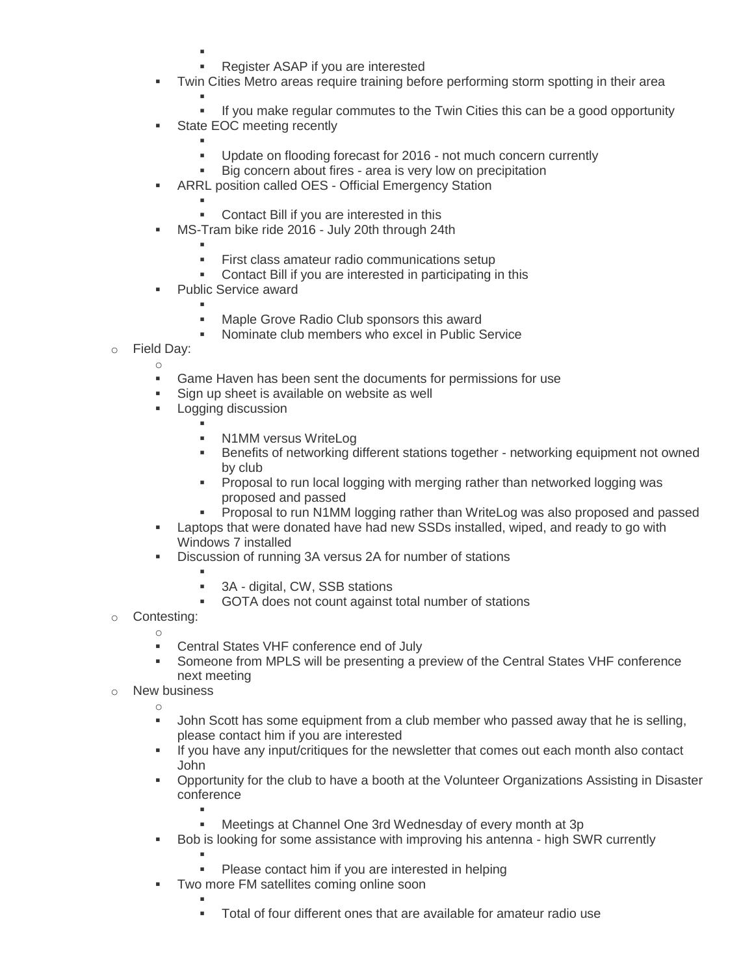- ı
	- Register ASAP if you are interested
- **Twin Cities Metro areas require training before performing storm spotting in their area** 
	- ı If you make regular commutes to the Twin Cities this can be a good opportunity
- **State EOC meeting recently** 
	- F Update on flooding forecast for 2016 - not much concern currently
	- Big concern about fires area is very low on precipitation
- ARRL position called OES Official Emergency Station
	- ı Contact Bill if you are interested in this
- **MS-Tram bike ride 2016 July 20th through 24th** 
	- ı
		- First class amateur radio communications setup
	- Contact Bill if you are interested in participating in this
- **Public Service award** 
	- ı **Maple Grove Radio Club sponsors this award**
	- Nominate club members who excel in Public Service
- o Field Day:
	- o
		- Game Haven has been sent the documents for permissions for use
	- **Sign up sheet is available on website as well**
	- **Logging discussion** 
		- F **N1MM versus WriteLog**
		- Benefits of networking different stations together networking equipment not owned by club
		- **Proposal to run local logging with merging rather than networked logging was** proposed and passed
		- Proposal to run N1MM logging rather than WriteLog was also proposed and passed
	- **EXE** Laptops that were donated have had new SSDs installed, wiped, and ready to go with Windows 7 installed
	- Discussion of running 3A versus 2A for number of stations
		- F
		- 3A digital, CW, SSB stations
		- GOTA does not count against total number of stations
- o Contesting:
	- o Central States VHF conference end of July
	- Someone from MPLS will be presenting a preview of the Central States VHF conference next meeting
- o New business o
	- John Scott has some equipment from a club member who passed away that he is selling, please contact him if you are interested
	- If you have any input/critiques for the newsletter that comes out each month also contact John
	- Opportunity for the club to have a booth at the Volunteer Organizations Assisting in Disaster conference
		- ı Meetings at Channel One 3rd Wednesday of every month at 3p
	- Bob is looking for some assistance with improving his antenna high SWR currently
		- F Please contact him if you are interested in helping
	- **Two more FM satellites coming online soon** 
		- ı Total of four different ones that are available for amateur radio use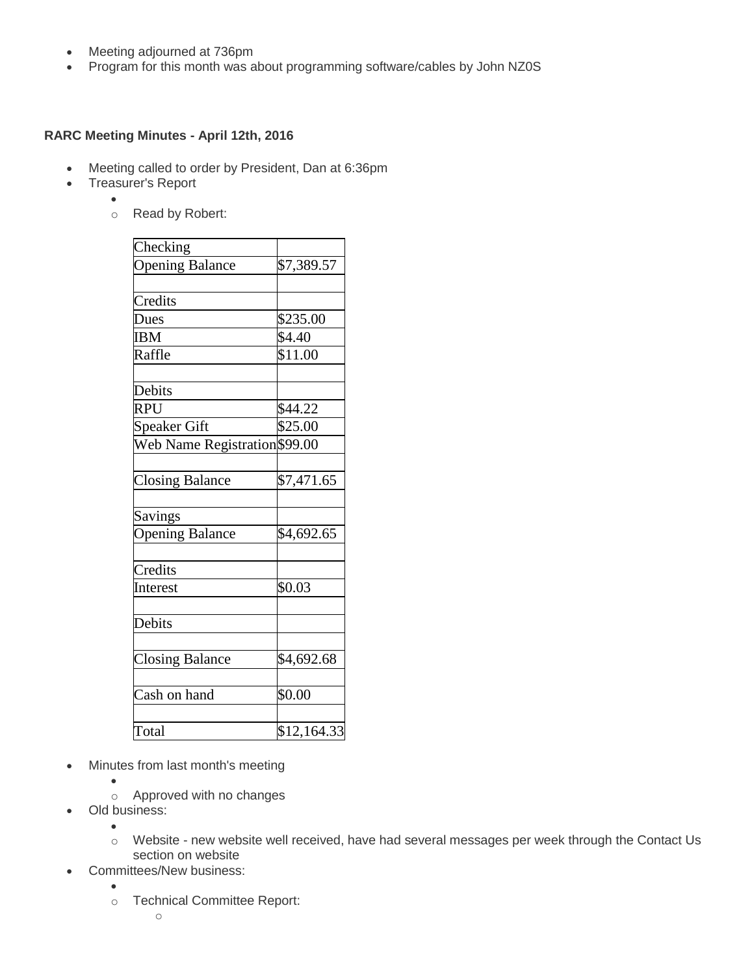- Meeting adjourned at 736pm
- Program for this month was about programming software/cables by John NZ0S

# **RARC Meeting Minutes - April 12th, 2016**

- Meeting called to order by President, Dan at 6:36pm
- Treasurer's Report
	- $\bullet$ o Read by Robert:

| \$7,389.57<br>\$235.00<br>\$4.40<br>\$11.00<br>\$44.22<br>\$25.00<br>Web Name Registration \$99.00<br>\$7,471.65<br>\$4,692.65<br>\$0.03                          |          |             |
|-------------------------------------------------------------------------------------------------------------------------------------------------------------------|----------|-------------|
| <b>Opening Balance</b><br>Credits<br>Dues<br><b>IBM</b><br>Raffle<br>Debits<br><b>RPU</b><br><b>Speaker Gift</b><br>Savings<br><b>Opening Balance</b><br>Interest | Checking |             |
|                                                                                                                                                                   |          |             |
|                                                                                                                                                                   |          |             |
| <b>Closing Balance</b>                                                                                                                                            |          |             |
|                                                                                                                                                                   |          |             |
|                                                                                                                                                                   |          |             |
|                                                                                                                                                                   |          |             |
|                                                                                                                                                                   |          |             |
|                                                                                                                                                                   |          |             |
|                                                                                                                                                                   |          |             |
|                                                                                                                                                                   |          |             |
|                                                                                                                                                                   |          |             |
|                                                                                                                                                                   |          |             |
| Credits<br>Debits                                                                                                                                                 |          |             |
|                                                                                                                                                                   |          |             |
|                                                                                                                                                                   |          |             |
|                                                                                                                                                                   |          |             |
|                                                                                                                                                                   |          |             |
|                                                                                                                                                                   |          |             |
|                                                                                                                                                                   |          |             |
|                                                                                                                                                                   |          |             |
|                                                                                                                                                                   |          |             |
|                                                                                                                                                                   |          |             |
| <b>Closing Balance</b><br>\$4,692.68                                                                                                                              |          |             |
|                                                                                                                                                                   |          |             |
| Cash on hand<br>\$0.00                                                                                                                                            |          |             |
|                                                                                                                                                                   |          |             |
| Total                                                                                                                                                             |          | \$12,164.33 |

- Minutes from last month's meeting
	- $\bullet$
	- o Approved with no changes
- Old business:  $\bullet$

 $\bullet$ 

- o Website new website well received, have had several messages per week through the Contact Us section on website
- Committees/New business:
	- o Technical Committee Report: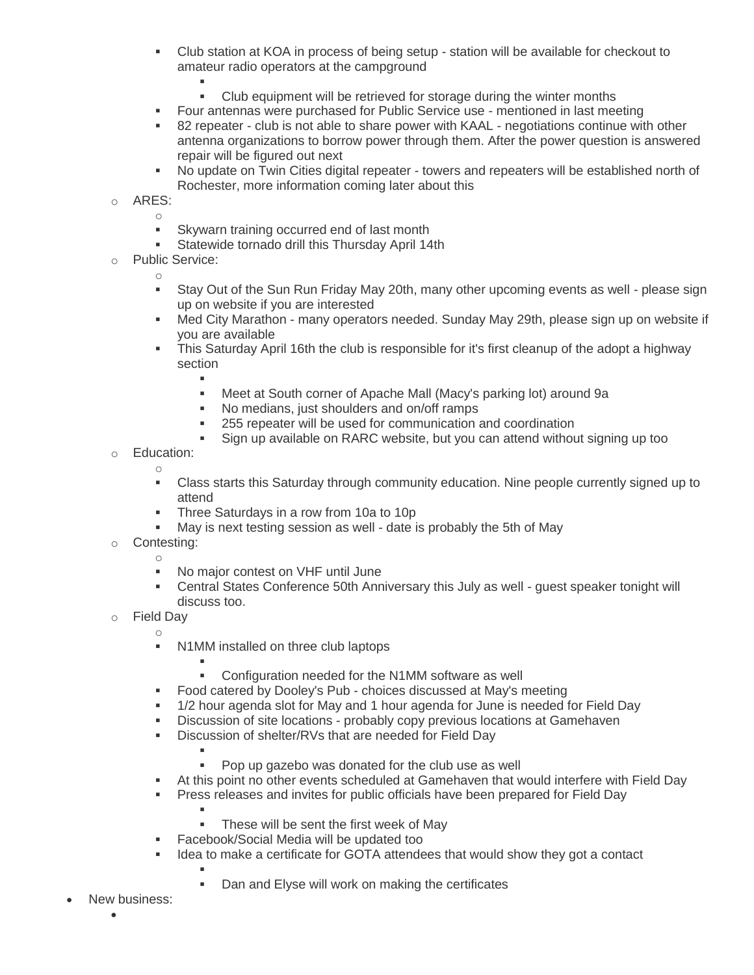- Club station at KOA in process of being setup station will be available for checkout to amateur radio operators at the campground
	- F
		- Club equipment will be retrieved for storage during the winter months
- Four antennas were purchased for Public Service use mentioned in last meeting
- 82 repeater club is not able to share power with KAAL negotiations continue with other antenna organizations to borrow power through them. After the power question is answered repair will be figured out next
- No update on Twin Cities digital repeater towers and repeaters will be established north of Rochester, more information coming later about this
- o ARES:
	- o **Skywarn training occurred end of last month**
	- Statewide tornado drill this Thursday April 14th
- o Public Service:
	- o
		- Stay Out of the Sun Run Friday May 20th, many other upcoming events as well please sign up on website if you are interested
		- Med City Marathon many operators needed. Sunday May 29th, please sign up on website if you are available
		- This Saturday April 16th the club is responsible for it's first cleanup of the adopt a highway section
			- ı
				- Meet at South corner of Apache Mall (Macy's parking lot) around 9a
				- No medians, just shoulders and on/off ramps
				- 255 repeater will be used for communication and coordination
				- Sign up available on RARC website, but you can attend without signing up too
- o Education:
	- o Class starts this Saturday through community education. Nine people currently signed up to attend
	- Three Saturdays in a row from 10a to 10p
	- May is next testing session as well date is probably the 5th of May
- o Contesting: o
	- No major contest on VHF until June
	- Central States Conference 50th Anniversary this July as well guest speaker tonight will discuss too.
- o Field Day o
	- N1MM installed on three club laptops
		- ı Configuration needed for the N1MM software as well
	- Food catered by Dooley's Pub choices discussed at May's meeting
	- 1/2 hour agenda slot for May and 1 hour agenda for June is needed for Field Day
	- Discussion of site locations probably copy previous locations at Gamehaven
	- **Discussion of shelter/RVs that are needed for Field Day** 
		- ı

 $\mathbf{r}$ 

- Pop up gazebo was donated for the club use as well
- At this point no other events scheduled at Gamehaven that would interfere with Field Day
- Press releases and invites for public officials have been prepared for Field Day
	- These will be sent the first week of May
- **Facebook/Social Media will be updated too**
- I ldea to make a certificate for GOTA attendees that would show they got a contact
	- F Dan and Elyse will work on making the certificates
- New business:  $\bullet$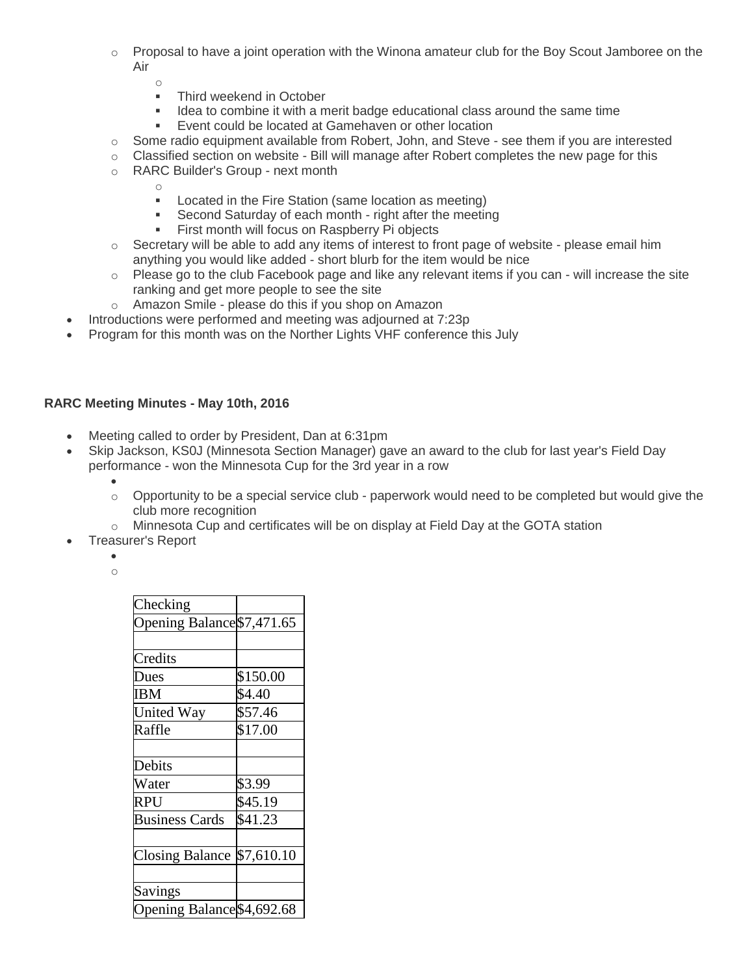- $\circ$  Proposal to have a joint operation with the Winona amateur club for the Boy Scout Jamboree on the Air
	- o
	- Third weekend in October
	- I ldea to combine it with a merit badge educational class around the same time
	- **Event could be located at Gamehaven or other location**
- $\circ$  Some radio equipment available from Robert, John, and Steve see them if you are interested
- o Classified section on website Bill will manage after Robert completes the new page for this
- o RARC Builder's Group next month

- **Located in the Fire Station (same location as meeting)**
- Second Saturday of each month right after the meeting
- **First month will focus on Raspberry Pi objects**
- $\circ$  Secretary will be able to add any items of interest to front page of website please email him anything you would like added - short blurb for the item would be nice
- $\circ$  Please go to the club Facebook page and like any relevant items if you can will increase the site ranking and get more people to see the site
- o Amazon Smile please do this if you shop on Amazon
- Introductions were performed and meeting was adjourned at 7:23p
- Program for this month was on the Norther Lights VHF conference this July

### **RARC Meeting Minutes - May 10th, 2016**

- Meeting called to order by President, Dan at 6:31pm
- Skip Jackson, KS0J (Minnesota Section Manager) gave an award to the club for last year's Field Day performance - won the Minnesota Cup for the 3rd year in a row
	- $\bullet$  $\circ$  Opportunity to be a special service club - paperwork would need to be completed but would give the club more recognition
	- $\circ$  Minnesota Cup and certificates will be on display at Field Day at the GOTA station
- Treasurer's Report

 $\bullet$ o

| Opening Balance \$7,471.65 |
|----------------------------|
|                            |
|                            |
| \$150.00                   |
| \$4.40                     |
| \$57.46                    |
| \$17.00                    |
|                            |
|                            |
| \$3.99                     |
| \$45.19                    |
| \$41.23                    |
|                            |
| \$7,610.10                 |
|                            |
|                            |
| Opening Balance \$4,692.68 |
|                            |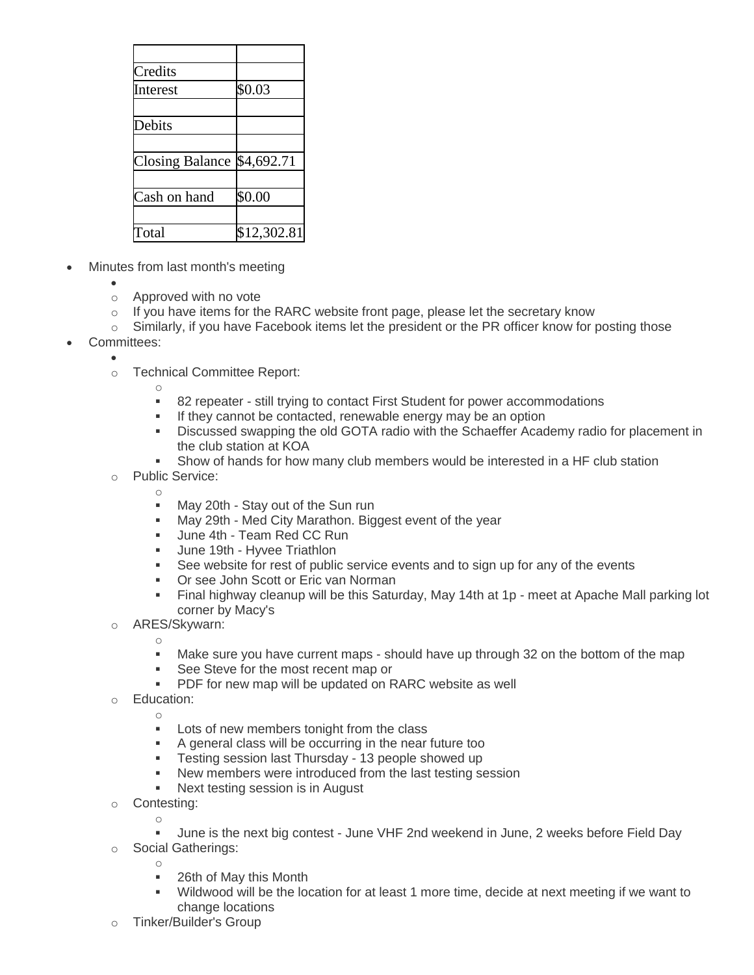| \$0.03                      |
|-----------------------------|
|                             |
|                             |
|                             |
| Closing Balance $$4,692.71$ |
|                             |
| \$0.00                      |
|                             |
| \$12,302.81                 |
|                             |

- Minutes from last month's meeting
	- $\bullet$
	- o Approved with no vote
	- $\circ$  If you have items for the RARC website front page, please let the secretary know
	- $\circ$  Similarly, if you have Facebook items let the president or the PR officer know for posting those
- Committees:
	- $\bullet$ o Technical Committee Report:

- 82 repeater still trying to contact First Student for power accommodations
- If they cannot be contacted, renewable energy may be an option
- Discussed swapping the old GOTA radio with the Schaeffer Academy radio for placement in the club station at KOA
- Show of hands for how many club members would be interested in a HF club station
- o Public Service:
	- o
	- May 20th Stay out of the Sun run
	- May 29th Med City Marathon. Biggest event of the year
	- **June 4th Team Red CC Run**
	- **June 19th Hyvee Triathlon**<br>**See website for rest of public**
	- See website for rest of public service events and to sign up for any of the events
	- **Or see John Scott or Eric van Norman**
	- Final highway cleanup will be this Saturday, May 14th at 1p meet at Apache Mall parking lot corner by Macy's
- o ARES/Skywarn:
	- o
	- Make sure you have current maps should have up through 32 on the bottom of the map
	- See Steve for the most recent map or
	- **PDF** for new map will be updated on RARC website as well
- o Education:

- **Lots of new members tonight from the class**
- A general class will be occurring in the near future too
- **Testing session last Thursday 13 people showed up**
- New members were introduced from the last testing session
- Next testing session is in August
- o Contesting:
	- o
	- June is the next big contest June VHF 2nd weekend in June, 2 weeks before Field Day
- o Social Gatherings:
	- o
	- 26th of May this Month
	- Wildwood will be the location for at least 1 more time, decide at next meeting if we want to change locations
- o Tinker/Builder's Group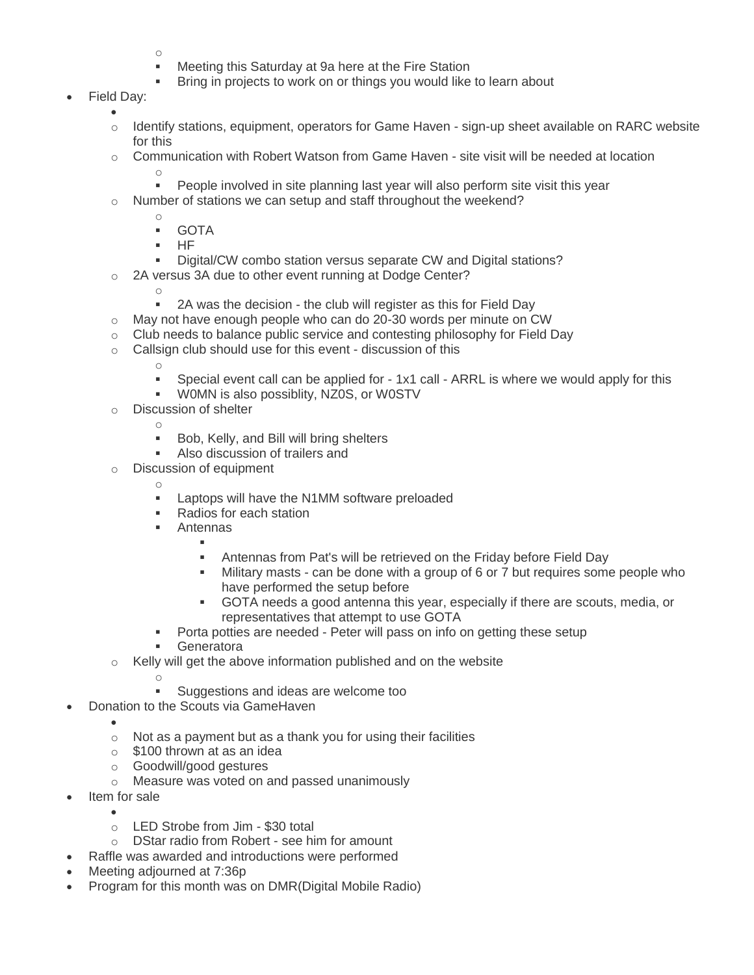- o
- **Meeting this Saturday at 9a here at the Fire Station**
- Bring in projects to work on or things you would like to learn about
- Field Day:  $\bullet$ 
	- $\circ$  Identify stations, equipment, operators for Game Haven sign-up sheet available on RARC website for this
	- $\circ$  Communication with Robert Watson from Game Haven site visit will be needed at location o
		- **People involved in site planning last year will also perform site visit this year**
	- o Number of stations we can setup and staff throughout the weekend?
		- o GOTA
		-
		- $-HF$
		- Digital/CW combo station versus separate CW and Digital stations?
	- 2A versus 3A due to other event running at Dodge Center?
		- o
			- 2A was the decision the club will register as this for Field Day
	- o May not have enough people who can do 20-30 words per minute on CW
	- $\circ$  Club needs to balance public service and contesting philosophy for Field Day
	- o Callsign club should use for this event discussion of this
		- o
		- Special event call can be applied for 1x1 call ARRL is where we would apply for this
		- W0MN is also possiblity, NZ0S, or W0STV
	- o Discussion of shelter
		- o
		- **Bob, Kelly, and Bill will bring shelters**
		- **Also discussion of trailers and**
	- o Discussion of equipment
		- o
		- **EXEC** Laptops will have the N1MM software preloaded
		- Radios for each station
		- **Antennas** 
			- ı Antennas from Pat's will be retrieved on the Friday before Field Day
			- Military masts can be done with a group of 6 or 7 but requires some people who have performed the setup before
			- GOTA needs a good antenna this year, especially if there are scouts, media, or representatives that attempt to use GOTA
		- Porta potties are needed Peter will pass on info on getting these setup
		- Generatora
	- o Kelly will get the above information published and on the website
		- o
		- **Suggestions and ideas are welcome too**
	- Donation to the Scouts via GameHaven
		- $\circ$  Not as a payment but as a thank you for using their facilities
		- $\circ$  \$100 thrown at as an idea
		- o Goodwill/good gestures
		- o Measure was voted on and passed unanimously
- Item for sale

 $\bullet$ 

- $\bullet$
- o LED Strobe from Jim \$30 total
- o DStar radio from Robert see him for amount
- Raffle was awarded and introductions were performed
- Meeting adjourned at 7:36p
- Program for this month was on DMR(Digital Mobile Radio)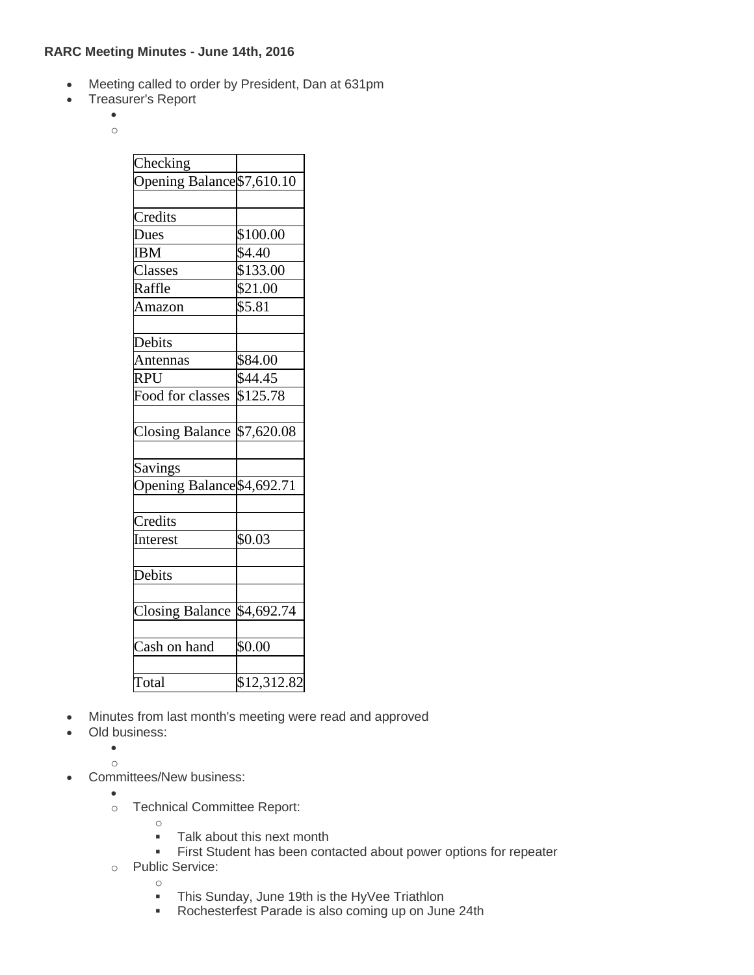### **RARC Meeting Minutes - June 14th, 2016**

- Meeting called to order by President, Dan at 631pm
- Treasurer's Report
	- $\bullet$ o

| Checking                   |             |
|----------------------------|-------------|
| Opening Balance \$7,610.10 |             |
|                            |             |
| Credits                    |             |
| Dues                       | \$100.00    |
| <b>IBM</b>                 | \$4.40      |
| Classes                    | \$133.00    |
| Raffle                     | \$21.00     |
| Amazon                     | \$5.81      |
| Debits                     |             |
| Antennas                   | \$84.00     |
| <b>RPU</b>                 | \$44.45     |
| Food for classes           | \$125.78    |
| <b>Closing Balance</b>     | \$7,620.08  |
| Savings                    |             |
| Opening Balance \$4,692.71 |             |
| Credits                    |             |
| Interest                   | \$0.03      |
| Debits                     |             |
| <b>Closing Balance</b>     | \$4,692.74  |
| Cash on hand               | \$0.00      |
| Total                      | \$12,312.82 |

- Minutes from last month's meeting were read and approved
- Old business:
	- $\bullet$
	- o
- Committees/New business:
	- $\bullet$
	- o Technical Committee Report:
		- o
			- **Talk about this next month**
		- **First Student has been contacted about power options for repeater**
	- o Public Service:
		- o **This Sunday, June 19th is the HyVee Triathlon**
		- Rochesterfest Parade is also coming up on June 24th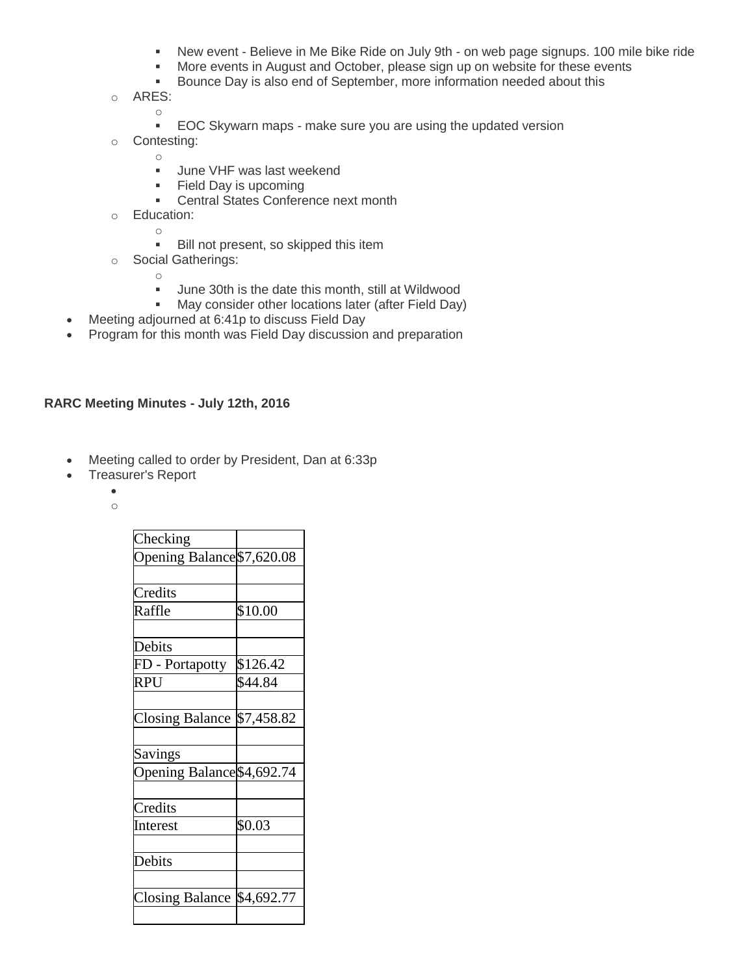- New event Believe in Me Bike Ride on July 9th on web page signups. 100 mile bike ride
- **More events in August and October, please sign up on website for these events**
- **Bounce Day is also end of September, more information needed about this**
- o ARES:
	- **EOC Skywarn maps make sure you are using the updated version**
- o Contesting:

- o
- **June VHF was last weekend**
- **Field Day is upcoming**
- **Central States Conference next month**
- o Education:
	- o
		- Bill not present, so skipped this item
- o Social Gatherings:
	- o
		- Uune 30th is the date this month, still at Wildwood<br>May consider other locations later (after Field Dav
	- May consider other locations later (after Field Day)
- Meeting adjourned at 6:41p to discuss Field Day
- Program for this month was Field Day discussion and preparation

#### **RARC Meeting Minutes - July 12th, 2016**

- Meeting called to order by President, Dan at 6:33p
- Treasurer's Report
	- $\bullet$
	- o

| Checking                   |            |
|----------------------------|------------|
| Opening Balance \$7,620.08 |            |
|                            |            |
| Credits                    |            |
| Raffle                     | \$10.00    |
|                            |            |
| Debits                     |            |
| FD - Portapotty            | \$126.42   |
| <b>RPU</b>                 | \$44.84    |
|                            |            |
| <b>Closing Balance</b>     | \$7,458.82 |
|                            |            |
| Savings                    |            |
| Opening Balance \$4,692.74 |            |
|                            |            |
| Credits                    |            |
| Interest                   | \$0.03     |
|                            |            |
| Debits                     |            |
|                            |            |
| <b>Closing Balance</b>     | \$4,692.77 |
|                            |            |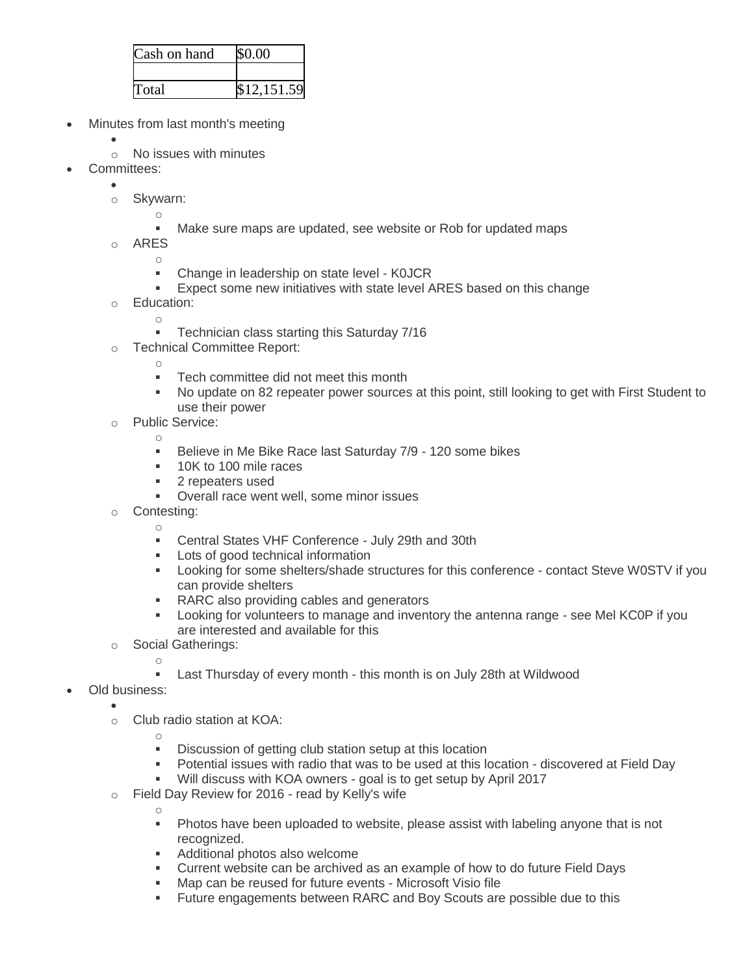| Cash on hand | \$0.00      |
|--------------|-------------|
|              |             |
| Total        | \$12,151.59 |

- Minutes from last month's meeting
	- $\bullet$ 
		- o No issues with minutes
- Committees:
	- $\bullet$ 
		- o Skywarn:
			- o
				- Make sure maps are updated, see website or Rob for updated maps
		- o ARES
			- o • Change in leadership on state level - KOJCR
			- **Expect some new initiatives with state level ARES based on this change**
		- o Education:
			- o
			- **Technician class starting this Saturday 7/16**
		- o Technical Committee Report:
			- o
			- **Tech committee did not meet this month**
			- No update on 82 repeater power sources at this point, still looking to get with First Student to use their power
		- o Public Service:
			- o
				- **Believe in Me Bike Race last Saturday 7/9 120 some bikes**
				- **10K to 100 mile races**
				- **2** repeaters used
				- **•** Overall race went well, some minor issues
		- o Contesting:
			- o
			- Central States VHF Conference July 29th and 30th
			- Lots of good technical information
			- Looking for some shelters/shade structures for this conference contact Steve W0STV if you can provide shelters
			- **RARC** also providing cables and generators
			- Looking for volunteers to manage and inventory the antenna range see Mel KC0P if you are interested and available for this
		- o Social Gatherings:
			- o
			- Last Thursday of every month this month is on July 28th at Wildwood
- Old business:
	- $\bullet$ o Club radio station at KOA:
		- o

- Discussion of getting club station setup at this location
- Potential issues with radio that was to be used at this location discovered at Field Day
- Will discuss with KOA owners goal is to get setup by April 2017
- o Field Day Review for 2016 read by Kelly's wife
	- Photos have been uploaded to website, please assist with labeling anyone that is not recognized.
	- **Additional photos also welcome**
	- Current website can be archived as an example of how to do future Field Days
	- Map can be reused for future events Microsoft Visio file
	- Future engagements between RARC and Boy Scouts are possible due to this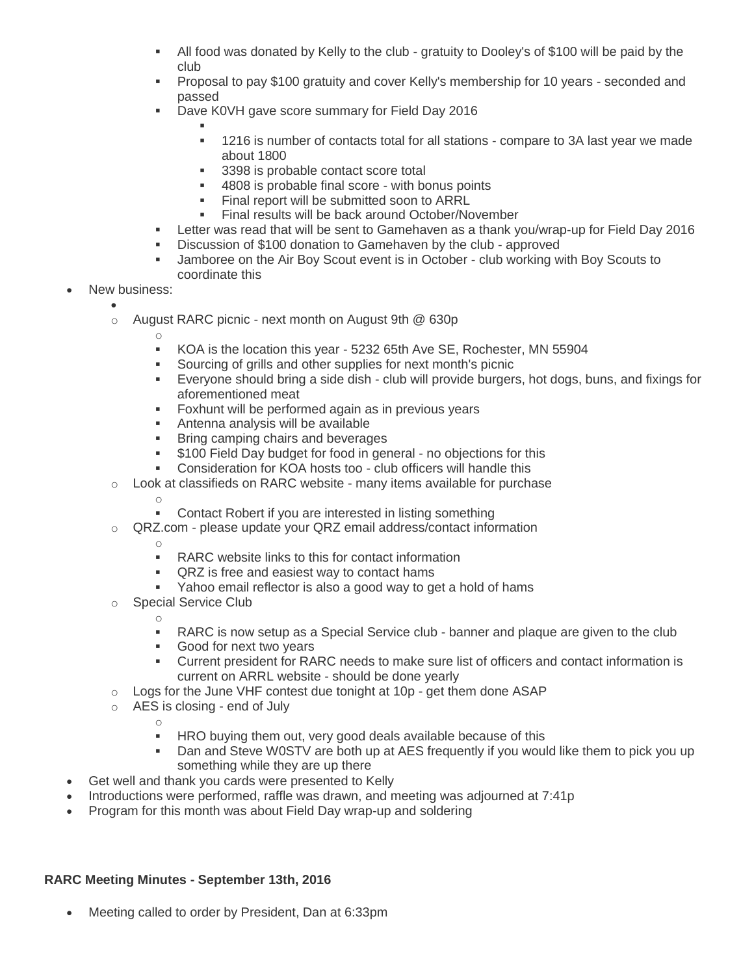- All food was donated by Kelly to the club gratuity to Dooley's of \$100 will be paid by the club
- Proposal to pay \$100 gratuity and cover Kelly's membership for 10 years seconded and passed
- Dave K0VH gave score summary for Field Day 2016
	- ı
	- 1216 is number of contacts total for all stations compare to 3A last year we made about 1800
	- 3398 is probable contact score total
	- 4808 is probable final score with bonus points
	- **Final report will be submitted soon to ARRL**
	- Final results will be back around October/November
- Letter was read that will be sent to Gamehaven as a thank you/wrap-up for Field Day 2016
- Discussion of \$100 donation to Gamehaven by the club approved
- Jamboree on the Air Boy Scout event is in October club working with Boy Scouts to coordinate this
- New business:
	- $\bullet$

- o August RARC picnic next month on August 9th @ 630p
	- KOA is the location this year 5232 65th Ave SE, Rochester, MN 55904
	- Sourcing of grills and other supplies for next month's picnic
	- Everyone should bring a side dish club will provide burgers, hot dogs, buns, and fixings for aforementioned meat
	- **Foxhunt will be performed again as in previous years**
	- Antenna analysis will be available
	- **Bring camping chairs and beverages**
	- **\$100 Field Day budget for food in general no objections for this**
	- Consideration for KOA hosts too club officers will handle this
- o Look at classifieds on RARC website many items available for purchase
	- o Contact Robert if you are interested in listing something
	- QRZ.com please update your QRZ email address/contact information
		- o

o

- **RARC** website links to this for contact information
- QRZ is free and easiest way to contact hams
- Yahoo email reflector is also a good way to get a hold of hams
- o Special Service Club
	- RARC is now setup as a Special Service club banner and plaque are given to the club
	- **Good for next two years**
	- Current president for RARC needs to make sure list of officers and contact information is current on ARRL website - should be done yearly
- $\circ$  Logs for the June VHF contest due tonight at 10p get them done ASAP
- o AES is closing end of July
	- o
		- **HRO** buying them out, very good deals available because of this
		- Dan and Steve W0STV are both up at AES frequently if you would like them to pick you up something while they are up there
- Get well and thank you cards were presented to Kelly
- Introductions were performed, raffle was drawn, and meeting was adjourned at 7:41p
- Program for this month was about Field Day wrap-up and soldering

# **RARC Meeting Minutes - September 13th, 2016**

Meeting called to order by President, Dan at 6:33pm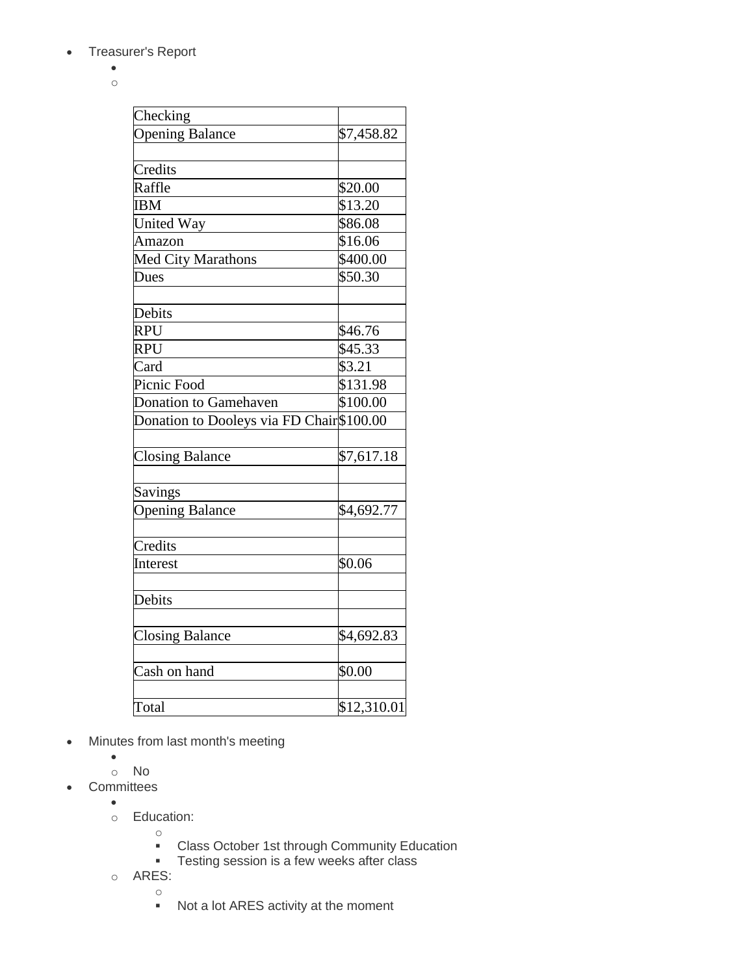- Treasurer's Report
	- $\bullet$ o

| Checking                                  |             |
|-------------------------------------------|-------------|
| <b>Opening Balance</b>                    | \$7,458.82  |
|                                           |             |
| Credits                                   |             |
| Raffle                                    | \$20.00     |
| <b>IBM</b>                                | \$13.20     |
| <b>United Way</b>                         | \$86.08     |
| Amazon                                    | \$16.06     |
| Med City Marathons                        | \$400.00    |
| Dues                                      | \$50.30     |
|                                           |             |
| Debits                                    |             |
| <b>RPU</b>                                | \$46.76     |
| <b>RPU</b>                                | \$45.33     |
| Card                                      | \$3.21      |
| Picnic Food                               | \$131.98    |
| <b>Donation to Gamehaven</b>              | \$100.00    |
| Donation to Dooleys via FD Chair \$100.00 |             |
|                                           |             |
| <b>Closing Balance</b>                    | \$7,617.18  |
|                                           |             |
| Savings                                   |             |
| <b>Opening Balance</b>                    | \$4,692.77  |
|                                           |             |
| Credits                                   |             |
| Interest                                  | \$0.06      |
|                                           |             |
| Debits                                    |             |
|                                           |             |
| <b>Closing Balance</b>                    | \$4,692.83  |
|                                           |             |
| Cash on hand                              | \$0.00      |
|                                           |             |
| Total                                     | \$12,310.01 |

- Minutes from last month's meeting
	- $\bullet$
- o No • Committees
	- $\bullet$
	- o Education:
		- o
		- Class October 1st through Community Education
		- **Testing session is a few weeks after class**
	- o ARES:
		-
		- o Not a lot ARES activity at the moment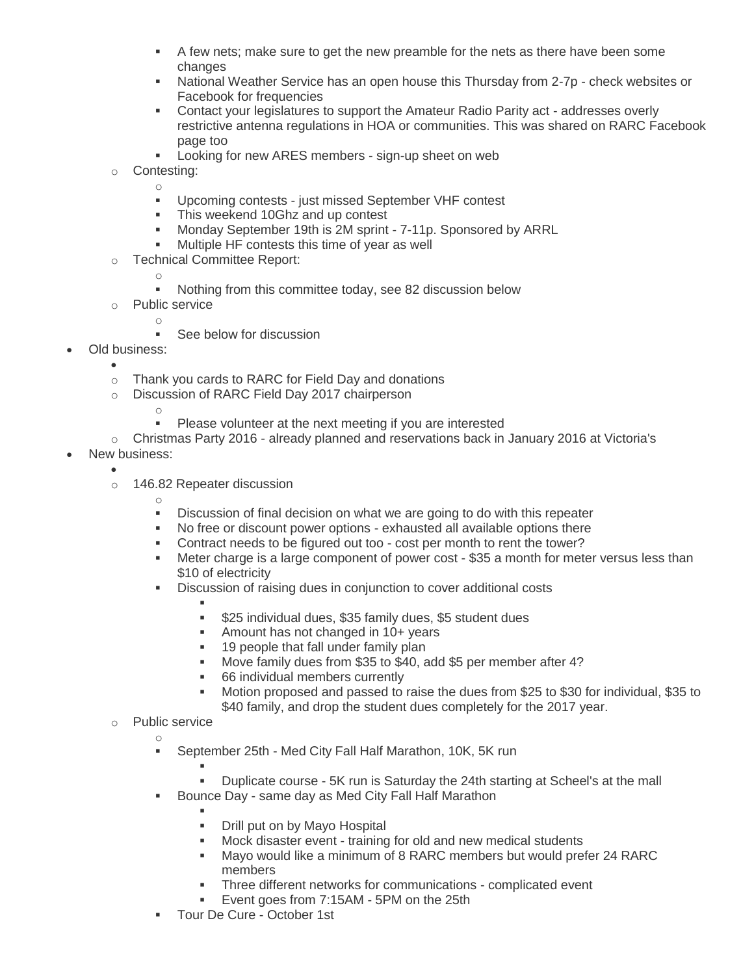- A few nets; make sure to get the new preamble for the nets as there have been some changes
- **National Weather Service has an open house this Thursday from 2-7p check websites or** Facebook for frequencies
- Contact your legislatures to support the Amateur Radio Parity act addresses overly restrictive antenna regulations in HOA or communities. This was shared on RARC Facebook page too
- **Looking for new ARES members sign-up sheet on web**
- o Contesting:

- Upcoming contests just missed September VHF contest
- This weekend 10Ghz and up contest
- Monday September 19th is 2M sprint 7-11p. Sponsored by ARRL
- Multiple HF contests this time of year as well
- o Technical Committee Report:
	- o
		- Nothing from this committee today, see 82 discussion below
- o Public service o
	- See below for discussion
- Old business:
	- $\bullet$
	- o Thank you cards to RARC for Field Day and donations
	- o Discussion of RARC Field Day 2017 chairperson
		- o

o

- **Please volunteer at the next meeting if you are interested**
- $\circ$  Christmas Party 2016 already planned and reservations back in January 2016 at Victoria's
- New business:
	- $\bullet$
	- o 146.82 Repeater discussion
		- Discussion of final decision on what we are going to do with this repeater
		- No free or discount power options exhausted all available options there
		- Contract needs to be figured out too cost per month to rent the tower?
		- Meter charge is a large component of power cost \$35 a month for meter versus less than \$10 of electricity
		- **Discussion of raising dues in conjunction to cover additional costs** 
			- ı
			- \$25 individual dues, \$35 family dues, \$5 student dues
			- Amount has not changed in 10+ years
			- **19 people that fall under family plan**
			- Move family dues from \$35 to \$40, add \$5 per member after 4?
			- 66 individual members currently
			- Motion proposed and passed to raise the dues from \$25 to \$30 for individual, \$35 to \$40 family, and drop the student dues completely for the 2017 year.
	- o Public service
		- o
			- **September 25th Med City Fall Half Marathon, 10K, 5K run**
			-

F

- Duplicate course 5K run is Saturday the 24th starting at Scheel's at the mall
- **Bounce Day same day as Med City Fall Half Marathon** 
	- ı Drill put on by Mayo Hospital
	- Mock disaster event training for old and new medical students
	- Mayo would like a minimum of 8 RARC members but would prefer 24 RARC members
	- **Three different networks for communications complicated event**
	- Event goes from 7:15AM 5PM on the 25th
- **Tour De Cure October 1st**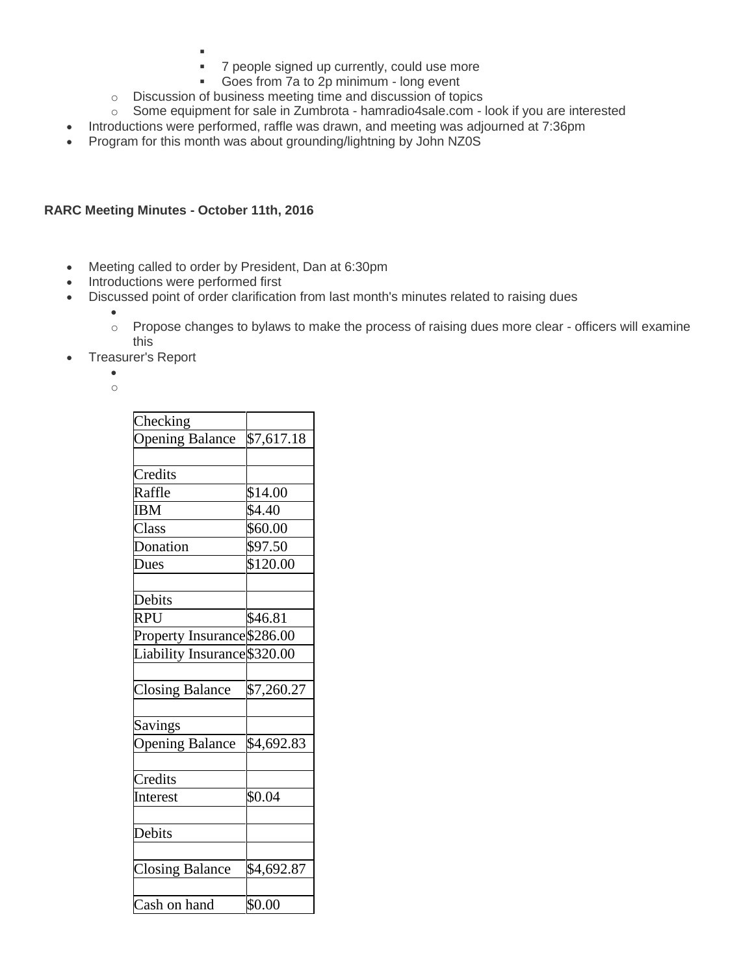- ı
	- 7 people signed up currently, could use more
- Goes from 7a to 2p minimum long event
- o Discussion of business meeting time and discussion of topics
- o Some equipment for sale in Zumbrota hamradio4sale.com look if you are interested
- Introductions were performed, raffle was drawn, and meeting was adjourned at 7:36pm
- Program for this month was about grounding/lightning by John NZ0S

### **RARC Meeting Minutes - October 11th, 2016**

- Meeting called to order by President, Dan at 6:30pm
- Introductions were performed first
- Discussed point of order clarification from last month's minutes related to raising dues
	- o Propose changes to bylaws to make the process of raising dues more clear officers will examine this
- Treasurer's Report

 $\bullet$ o

 $\bullet$ 

| Checking                     |            |
|------------------------------|------------|
| <b>Opening Balance</b>       | \$7,617.18 |
|                              |            |
| Credits                      |            |
| Raffle                       | \$14.00    |
| IBM                          | \$4.40     |
| Class                        | \$60.00    |
| Donation                     | \$97.50    |
| Dues                         | \$120.00   |
|                              |            |
| Debits                       |            |
| <b>RPU</b>                   | \$46.81    |
| Property Insurance \$286.00  |            |
| Liability Insurance \$320.00 |            |
|                              |            |
| <b>Closing Balance</b>       | \$7,260.27 |
|                              |            |
| <b>Savings</b>               |            |
| <b>Opening Balance</b>       | \$4,692.83 |
|                              |            |
| Credits                      |            |
| Interest                     | \$0.04     |
|                              |            |
| Debits                       |            |
|                              |            |
| <b>Closing Balance</b>       | \$4,692.87 |
|                              |            |
| Cash on hand                 | \$0.00     |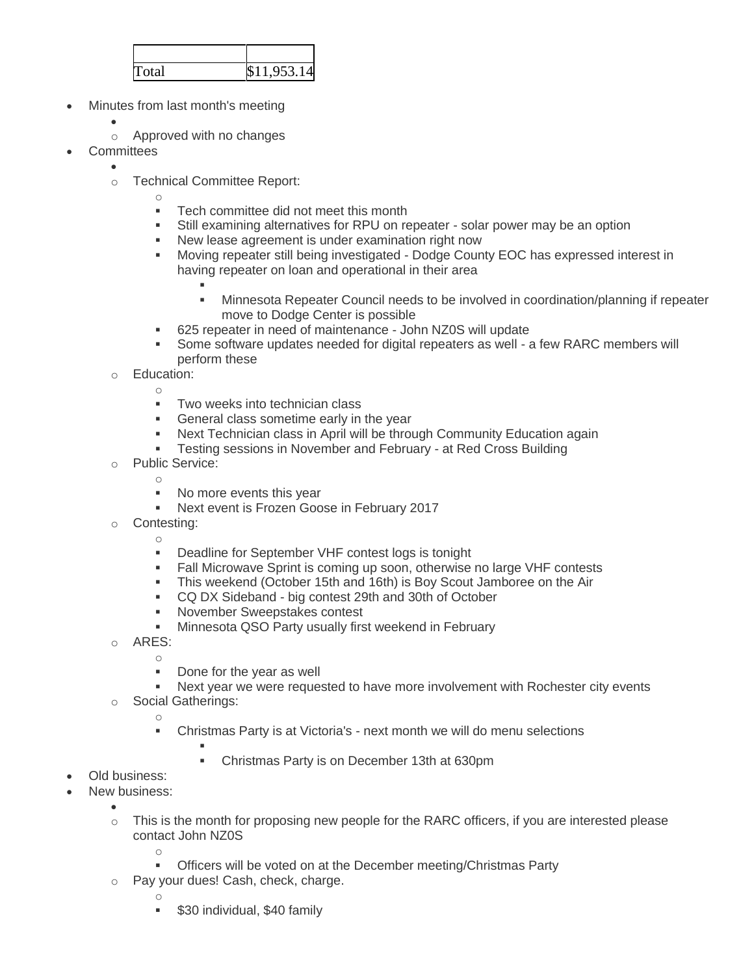| Total | \$11,953.14 |
|-------|-------------|

- Minutes from last month's meeting
	- $\bullet$
	- o Approved with no changes
- **Committees** 
	- $\bullet$
	- o Technical Committee Report:
		- o
		- **Tech committee did not meet this month**
		- Still examining alternatives for RPU on repeater solar power may be an option<br>• New lease agreement is under examination right now
		- New lease agreement is under examination right now
		- Moving repeater still being investigated Dodge County EOC has expressed interest in having repeater on loan and operational in their area
			- ı
			- Minnesota Repeater Council needs to be involved in coordination/planning if repeater move to Dodge Center is possible
		- 625 repeater in need of maintenance John NZ0S will update
		- Some software updates needed for digital repeaters as well a few RARC members will perform these
	- o Education: o
		- Two weeks into technician class
		- **General class sometime early in the year**
		- Next Technician class in April will be through Community Education again
		- Testing sessions in November and February at Red Cross Building
	- o Public Service: o
		- No more events this year
		- **Next event is Frozen Goose in February 2017**
	- o Contesting:
		- o Deadline for September VHF contest logs is tonight
		- **Fall Microwave Sprint is coming up soon, otherwise no large VHF contests**
		- This weekend (October 15th and 16th) is Boy Scout Jamboree on the Air
		- CQ DX Sideband big contest 29th and 30th of October
		- November Sweepstakes contest
		- **Minnesota QSO Party usually first weekend in February**
	- o ARES:
		- o
			- Done for the year as well
			- Next year we were requested to have more involvement with Rochester city events
	- o Social Gatherings:

ı

o

Christmas Party is at Victoria's - next month we will do menu selections

Christmas Party is on December 13th at 630pm

- Old business:
- New business:
	- $\bullet$  $\circ$  This is the month for proposing new people for the RARC officers, if you are interested please contact John NZ0S
		- o Officers will be voted on at the December meeting/Christmas Party
	- o Pay your dues! Cash, check, charge.
		- o
			- \$30 individual, \$40 family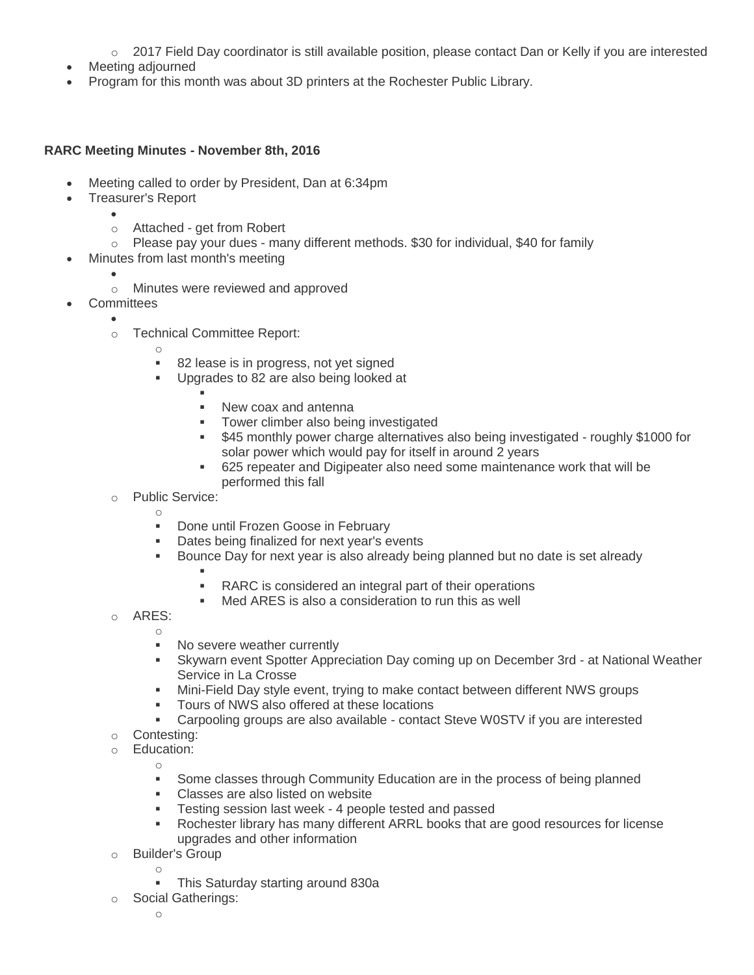- o 2017 Field Day coordinator is still available position, please contact Dan or Kelly if you are interested
- Meeting adjourned
- Program for this month was about 3D printers at the Rochester Public Library.

### **RARC Meeting Minutes - November 8th, 2016**

- Meeting called to order by President, Dan at 6:34pm
- Treasurer's Report
	- $\bullet$ o Attached - get from Robert
	- $\circ$  Please pay your dues many different methods. \$30 for individual, \$40 for family
	- Minutes from last month's meeting
		- $\bullet$ o Minutes were reviewed and approved
- **Committees** 
	- $\bullet$
	- o Technical Committee Report:
		- o
		- 82 lease is in progress, not yet signed
		- **Upgrades to 82 are also being looked at** 
			- ı New coax and antenna
			- Tower climber also being investigated
			- \$45 monthly power charge alternatives also being investigated roughly \$1000 for solar power which would pay for itself in around 2 years
			- 625 repeater and Digipeater also need some maintenance work that will be performed this fall
	- o Public Service:

- **Done until Frozen Goose in February**
- Dates being finalized for next year's events
- Bounce Day for next year is also already being planned but no date is set already
	- F
		- RARC is considered an integral part of their operations
	- Med ARES is also a consideration to run this as well
- o ARES:
	- o **No severe weather currently**
	- Skywarn event Spotter Appreciation Day coming up on December 3rd at National Weather Service in La Crosse
	- Mini-Field Day style event, trying to make contact between different NWS groups
	- **Tours of NWS also offered at these locations**
	- Carpooling groups are also available contact Steve W0STV if you are interested
- o Contesting:
- o Education: o
	- **Some classes through Community Education are in the process of being planned**
	- **Classes are also listed on website**
	- **Testing session last week 4 people tested and passed**
	- Rochester library has many different ARRL books that are good resources for license upgrades and other information
- o Builder's Group
	- o
		- This Saturday starting around 830a
- o Social Gatherings:
	- o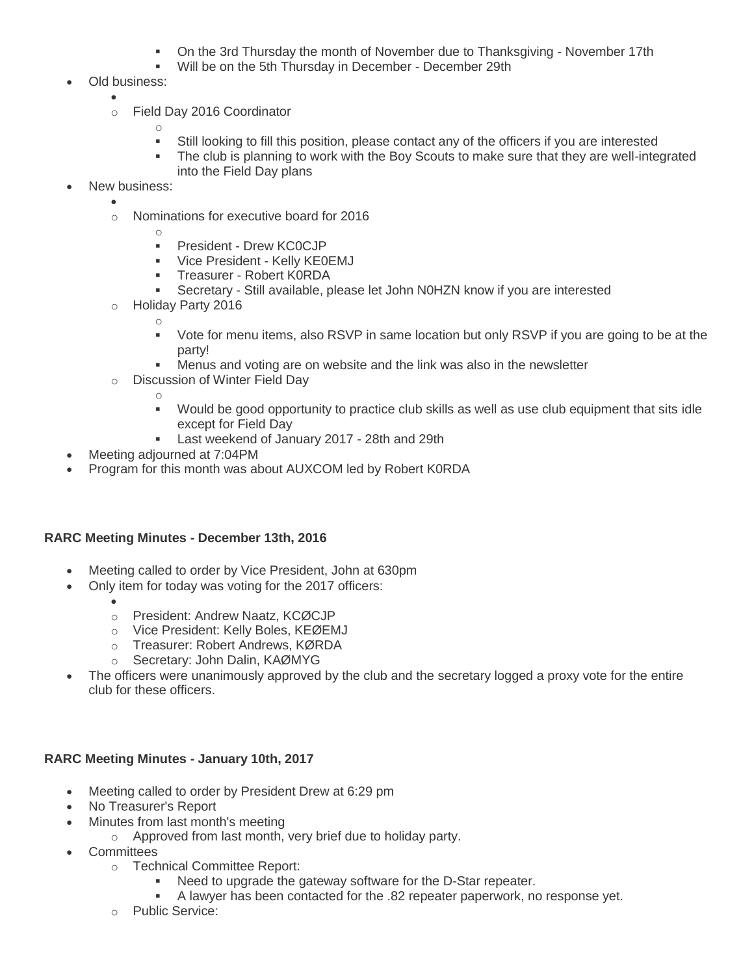- On the 3rd Thursday the month of November due to Thanksgiving November 17th
- Will be on the 5th Thursday in December December 29th
- Old business:
	- $\bullet$
	- o Field Day 2016 Coordinator
		- o
			- Still looking to fill this position, please contact any of the officers if you are interested
			- The club is planning to work with the Boy Scouts to make sure that they are well-integrated into the Field Day plans
- New business:
	- $\bullet$
	- o Nominations for executive board for 2016
		-

- **President Drew KC0CJP**
- Vice President Kelly KE0EMJ
- **Treasurer Robert KORDA**
- Secretary Still available, please let John N0HZN know if you are interested
- o Holiday Party 2016
	- Vote for menu items, also RSVP in same location but only RSVP if you are going to be at the party!
	- Menus and voting are on website and the link was also in the newsletter
- o Discussion of Winter Field Day
	- o

o

- Would be good opportunity to practice club skills as well as use club equipment that sits idle except for Field Day
- **Last weekend of January 2017 28th and 29th**
- Meeting adjourned at 7:04PM
- Program for this month was about AUXCOM led by Robert K0RDA

# **RARC Meeting Minutes - December 13th, 2016**

- Meeting called to order by Vice President, John at 630pm
	- Only item for today was voting for the 2017 officers:
		- $\bullet$ o President: Andrew Naatz, KCØCJP
		- o Vice President: Kelly Boles, KEØEMJ
		- o Treasurer: Robert Andrews, KØRDA
		- o Secretary: John Dalin, KAØMYG
- The officers were unanimously approved by the club and the secretary logged a proxy vote for the entire club for these officers.

# **RARC Meeting Minutes - January 10th, 2017**

- Meeting called to order by President Drew at 6:29 pm
- No Treasurer's Report
- Minutes from last month's meeting
	- o Approved from last month, very brief due to holiday party.
- **Committees** 
	- o Technical Committee Report:
		- Need to upgrade the gateway software for the D-Star repeater.
		- A lawyer has been contacted for the .82 repeater paperwork, no response yet.
	- o Public Service: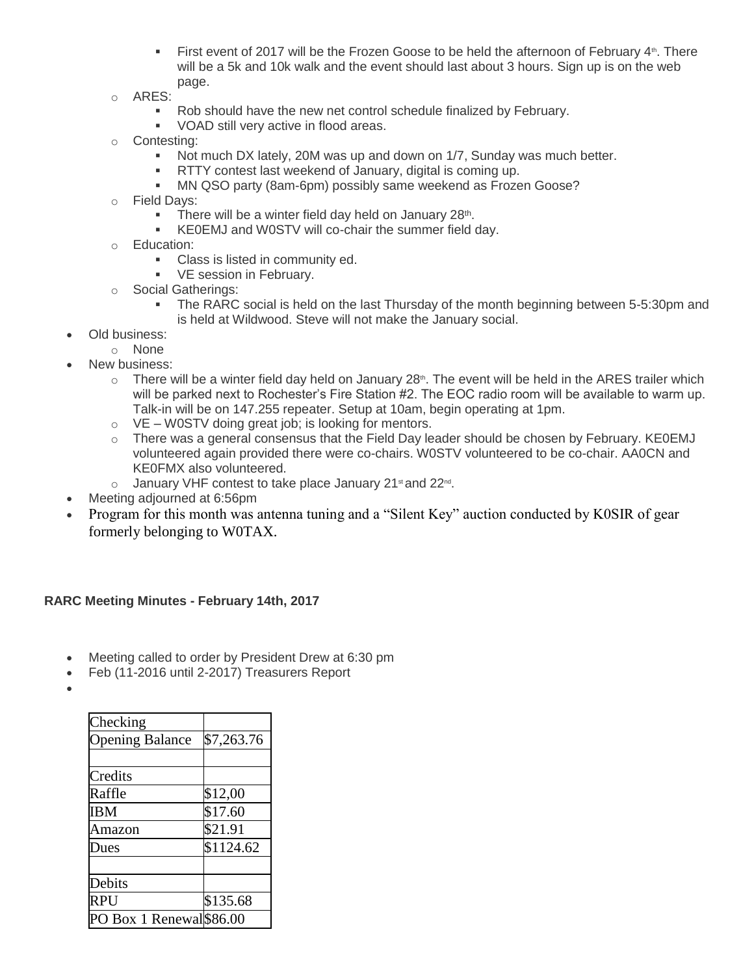- First event of 2017 will be the Frozen Goose to be held the afternoon of February  $4<sup>th</sup>$ . There will be a 5k and 10k walk and the event should last about 3 hours. Sign up is on the web page.
- o ARES:
	- Rob should have the new net control schedule finalized by February.
	- **VOAD still very active in flood areas.**
- o Contesting:
	- Not much DX lately, 20M was up and down on 1/7, Sunday was much better.
	- **RTTY** contest last weekend of January, digital is coming up.
	- MN QSO party (8am-6pm) possibly same weekend as Frozen Goose?
- o Field Days:
	- **There will be a winter field day held on January 28th.**
	- KE0EMJ and W0STV will co-chair the summer field day.
- o Education:
	- **Class is listed in community ed.**
	- **VE session in February.**
- o Social Gatherings:
	- The RARC social is held on the last Thursday of the month beginning between 5-5:30pm and is held at Wildwood. Steve will not make the January social.
- Old business:
	- o None
- New business:
	- $\circ$  There will be a winter field day held on January 28<sup>th</sup>. The event will be held in the ARES trailer which will be parked next to Rochester's Fire Station #2. The EOC radio room will be available to warm up. Talk-in will be on 147.255 repeater. Setup at 10am, begin operating at 1pm.
	- $\circ$  VE W0STV doing great job; is looking for mentors.
	- $\circ$  There was a general consensus that the Field Day leader should be chosen by February. KE0EMJ volunteered again provided there were co-chairs. W0STV volunteered to be co-chair. AA0CN and KE0FMX also volunteered.
	- $\circ$  January VHF contest to take place January 21st and 22<sup>nd</sup>.
- Meeting adjourned at 6:56pm
- Program for this month was antenna tuning and a "Silent Key" auction conducted by K0SIR of gear formerly belonging to W0TAX.

#### **RARC Meeting Minutes - February 14th, 2017**

- Meeting called to order by President Drew at 6:30 pm
- Feb (11-2016 until 2-2017) Treasurers Report
- $\bullet$

| Checking                 |            |
|--------------------------|------------|
| <b>Opening Balance</b>   | \$7,263.76 |
|                          |            |
| Credits                  |            |
| Raffle                   | \$12,00    |
| IBM                      | \$17.60    |
| Amazon                   | \$21.91    |
| Dues                     | \$1124.62  |
|                          |            |
| Debits                   |            |
| RPU                      | \$135.68   |
| PO Box 1 Renewal \$86.00 |            |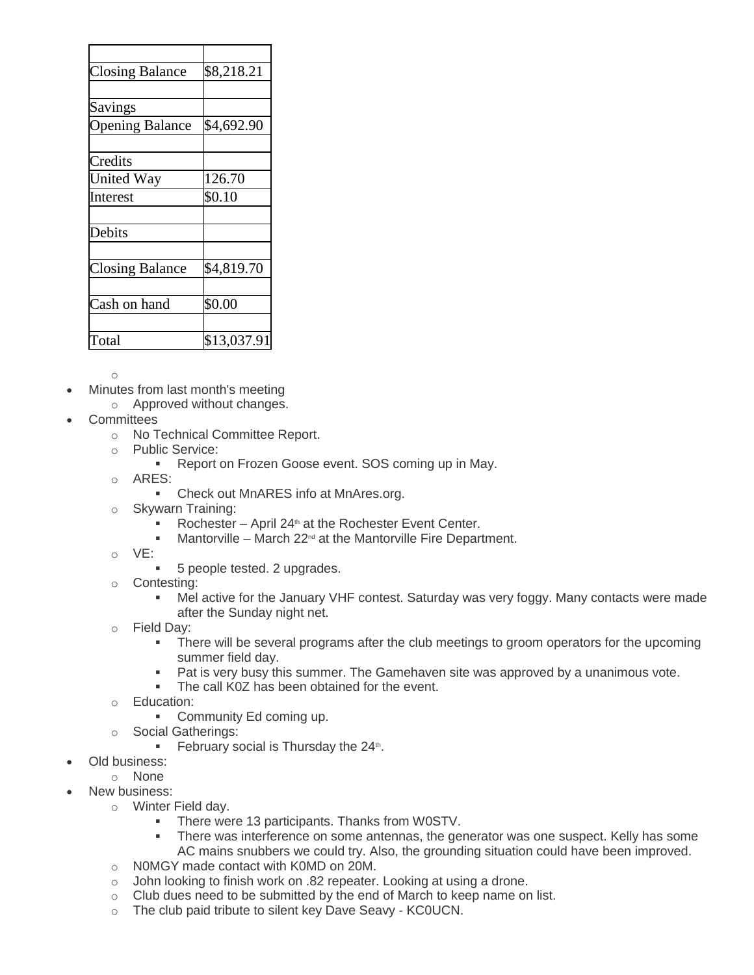| <b>Closing Balance</b> | \$8,218.21  |
|------------------------|-------------|
|                        |             |
| Savings                |             |
| <b>Opening Balance</b> | \$4,692.90  |
|                        |             |
| Credits                |             |
| United Way             | 126.70      |
| Interest               | \$0.10      |
| Debits                 |             |
|                        |             |
| Closing Balance        | \$4,819.70  |
| Cash on hand           | \$0.00      |
| Total                  | \$13,037.91 |

- Minutes from last month's meeting
	- o Approved without changes.
- **Committees** 
	- o No Technical Committee Report.
	- o Public Service:
		- **Report on Frozen Goose event. SOS coming up in May.**
	- o ARES:
		- Check out MnARES info at MnAres.org.
	- o Skywarn Training:
		- Rochester April 24<sup>th</sup> at the Rochester Event Center.
		- $\blacksquare$  Mantorville March 22<sup>nd</sup> at the Mantorville Fire Department.
	- o VE:
		- **5** people tested. 2 upgrades.
	- o Contesting:
		- Mel active for the January VHF contest. Saturday was very foggy. Many contacts were made after the Sunday night net.
	- o Field Day:
		- There will be several programs after the club meetings to groom operators for the upcoming summer field day.
		- **Pat is very busy this summer. The Gamehaven site was approved by a unanimous vote.**
		- **The call K0Z has been obtained for the event.**
	- o Education:
		- **-** Community Ed coming up.
	- o Social Gatherings:
		- **February social is Thursday the 24th.**
- Old business:
	- o None
- New business:
	- o Winter Field day.
		- **There were 13 participants. Thanks from W0STV.**
		- **There was interference on some antennas, the generator was one suspect. Kelly has some** AC mains snubbers we could try. Also, the grounding situation could have been improved.
	- o N0MGY made contact with K0MD on 20M.
	- o John looking to finish work on .82 repeater. Looking at using a drone.
	- $\circ$  Club dues need to be submitted by the end of March to keep name on list.
	- o The club paid tribute to silent key Dave Seavy KC0UCN.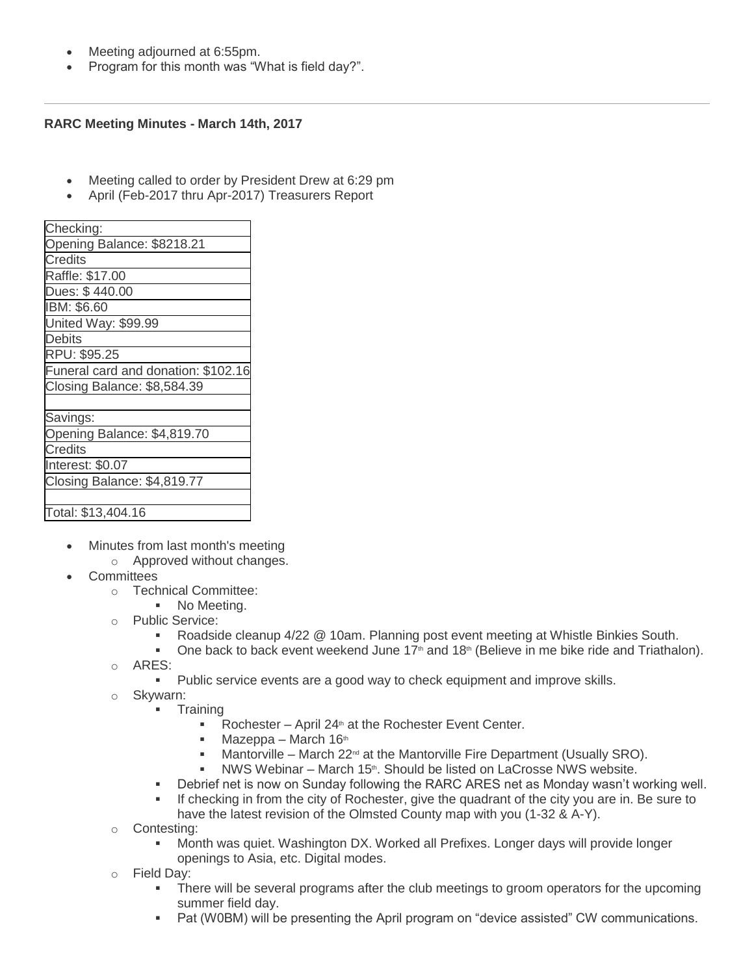- Meeting adjourned at 6:55pm.
- Program for this month was "What is field day?".

#### **RARC Meeting Minutes - March 14th, 2017**

- Meeting called to order by President Drew at 6:29 pm
- April (Feb-2017 thru Apr-2017) Treasurers Report

| Checking:                           |
|-------------------------------------|
| Opening Balance: \$8218.21          |
| <b>Credits</b>                      |
| Raffle: \$17.00                     |
| Dues: \$440.00                      |
| IBM: \$6.60                         |
| United Way: \$99.99                 |
| <b>Debits</b>                       |
| RPU: \$95.25                        |
| Funeral card and donation: \$102.16 |
| Closing Balance: \$8,584.39         |
|                                     |
| Savings:                            |
| Opening Balance: \$4,819.70         |
| <b>Credits</b>                      |
| Interest: \$0.07                    |
| Closing Balance: \$4,819.77         |
|                                     |
| Total: \$13,404.16                  |

- Minutes from last month's meeting
	- o Approved without changes.
- **Committees** 
	- o Technical Committee:
		- No Meeting.
	- o Public Service:
		- Roadside cleanup 4/22 @ 10am. Planning post event meeting at Whistle Binkies South.
		- **One back to back event weekend June 17<sup>th</sup> and 18<sup>th</sup> (Believe in me bike ride and Triathalon).**
	- o ARES:
		- Public service events are a good way to check equipment and improve skills.
	- o Skywarn:
		- **Training** 
			- Rochester April 24<sup>th</sup> at the Rochester Event Center.
			- $\blacksquare$  Mazeppa March 16<sup>th</sup>
			- Mantorville March  $22^{\text{nd}}$  at the Mantorville Fire Department (Usually SRO).
			- **NWS Webinar March 15th. Should be listed on LaCrosse NWS website.**
		- Debrief net is now on Sunday following the RARC ARES net as Monday wasn't working well.
		- If checking in from the city of Rochester, give the quadrant of the city you are in. Be sure to have the latest revision of the Olmsted County map with you (1-32 & A-Y).
	- o Contesting:
		- Month was quiet. Washington DX. Worked all Prefixes. Longer days will provide longer openings to Asia, etc. Digital modes.
	- o Field Day:
		- There will be several programs after the club meetings to groom operators for the upcoming summer field day.
		- Pat (W0BM) will be presenting the April program on "device assisted" CW communications.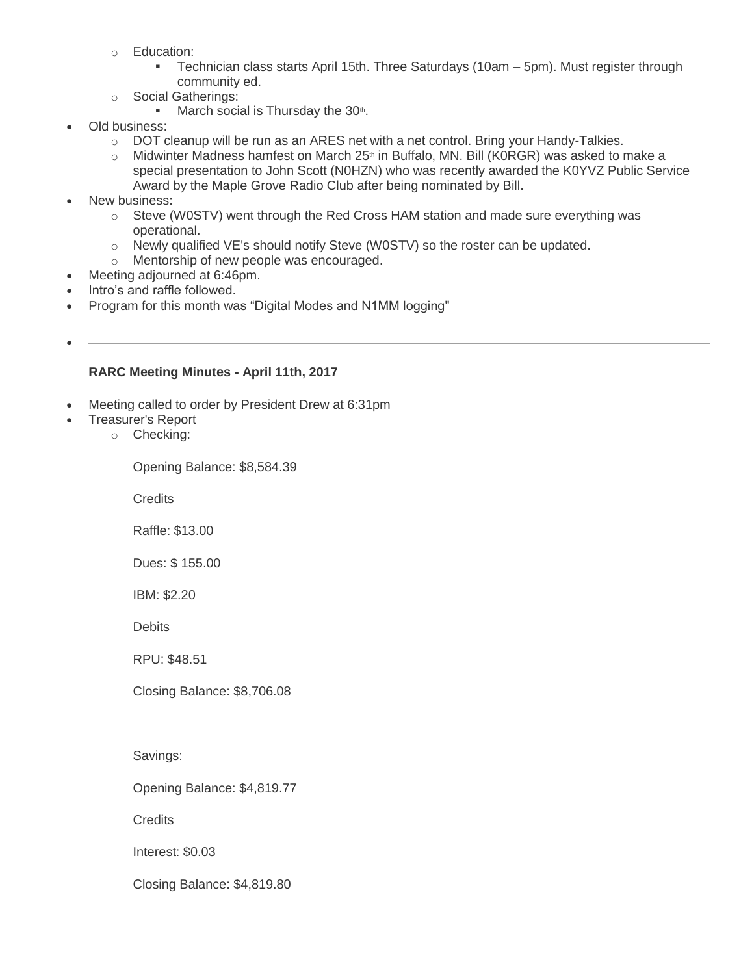- o Education:
	- Technician class starts April 15th. Three Saturdays (10am 5pm). Must register through community ed.
- o Social Gatherings:
	- $\blacksquare$  March social is Thursday the 30<sup>th</sup>.
- Old business:
	- o DOT cleanup will be run as an ARES net with a net control. Bring your Handy-Talkies.
	- $\circ$  Midwinter Madness hamfest on March 25<sup>th</sup> in Buffalo, MN. Bill (K0RGR) was asked to make a special presentation to John Scott (N0HZN) who was recently awarded the K0YVZ Public Service Award by the Maple Grove Radio Club after being nominated by Bill.
- New business:
	- o Steve (W0STV) went through the Red Cross HAM station and made sure everything was operational.
	- $\circ$  Newly qualified VE's should notify Steve (W0STV) so the roster can be updated.
	- o Mentorship of new people was encouraged.
- Meeting adjourned at 6:46pm.
- Intro's and raffle followed.
- Program for this month was "Digital Modes and N1MM logging"
- $\bullet$

# **RARC Meeting Minutes - April 11th, 2017**

- Meeting called to order by President Drew at 6:31pm
	- Treasurer's Report
		- o Checking:

Opening Balance: \$8,584.39

**Credits** 

Raffle: \$13.00

Dues: \$ 155.00

IBM: \$2.20

**Debits** 

RPU: \$48.51

Closing Balance: \$8,706.08

Savings:

Opening Balance: \$4,819.77

**Credits** 

Interest: \$0.03

Closing Balance: \$4,819.80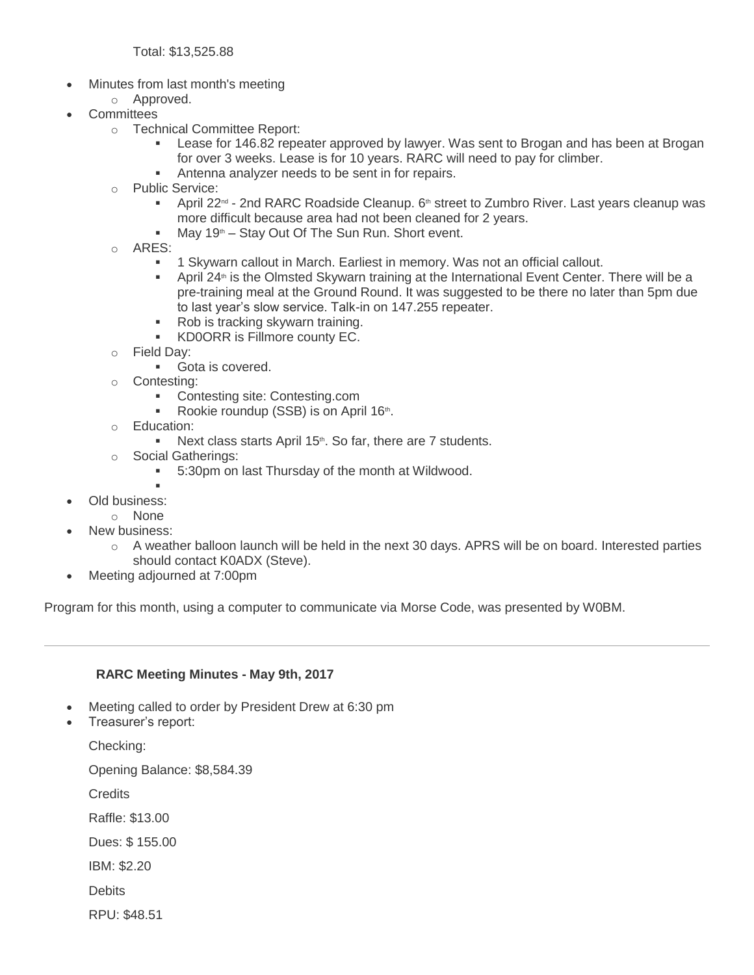Total: \$13,525.88

- Minutes from last month's meeting
- o Approved.
- **Committees** 
	- o Technical Committee Report:
		- Lease for 146.82 repeater approved by lawyer. Was sent to Brogan and has been at Brogan for over 3 weeks. Lease is for 10 years. RARC will need to pay for climber.
		- Antenna analyzer needs to be sent in for repairs.
	- o Public Service:
		- April 22<sup>nd</sup> 2nd RARC Roadside Cleanup. 6<sup>th</sup> street to Zumbro River. Last years cleanup was more difficult because area had not been cleaned for 2 years.
		- $M$ May 19<sup>th</sup> Stay Out Of The Sun Run. Short event.
	- $\circ$  ARFS:
		- 1 Skywarn callout in March. Earliest in memory. Was not an official callout.
		- April 24<sup>th</sup> is the Olmsted Skywarn training at the International Event Center. There will be a pre-training meal at the Ground Round. It was suggested to be there no later than 5pm due to last year's slow service. Talk-in on 147.255 repeater.
		- Rob is tracking skywarn training.
		- KD0ORR is Fillmore county EC.
	- o Field Day:
		- Gota is covered.
	- o Contesting:
		- **Contesting site: Contesting.com**
		- Rookie roundup (SSB) is on April 16th.
	- o Education:
		- Next class starts April  $15<sup>th</sup>$ . So far, there are 7 students.
	- o Social Gatherings:
		- 5:30pm on last Thursday of the month at Wildwood.
- F Old business:
	- o None
- New business:
	- $\circ$  A weather balloon launch will be held in the next 30 days. APRS will be on board. Interested parties should contact K0ADX (Steve).
- Meeting adjourned at 7:00pm

Program for this month, using a computer to communicate via Morse Code, was presented by W0BM.

#### **RARC Meeting Minutes - May 9th, 2017**

- Meeting called to order by President Drew at 6:30 pm
- Treasurer's report:

Checking:

Opening Balance: \$8,584.39

**Credits** 

Raffle: \$13.00

Dues: \$ 155.00

IBM: \$2.20

**Debits** 

RPU: \$48.51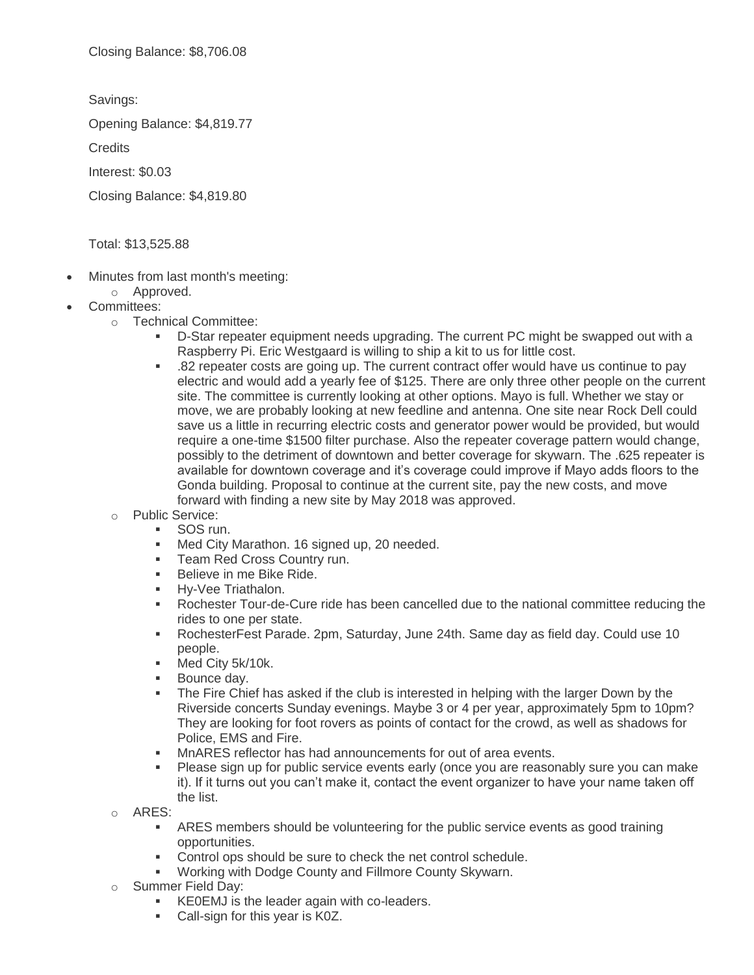Savings:

Opening Balance: \$4,819.77

**Credits** 

Interest: \$0.03

Closing Balance: \$4,819.80

Total: \$13,525.88

- Minutes from last month's meeting:
	- o Approved.
- Committees:
	- o Technical Committee:
		- D-Star repeater equipment needs upgrading. The current PC might be swapped out with a Raspberry Pi. Eric Westgaard is willing to ship a kit to us for little cost.
		- .82 repeater costs are going up. The current contract offer would have us continue to pay electric and would add a yearly fee of \$125. There are only three other people on the current site. The committee is currently looking at other options. Mayo is full. Whether we stay or move, we are probably looking at new feedline and antenna. One site near Rock Dell could save us a little in recurring electric costs and generator power would be provided, but would require a one-time \$1500 filter purchase. Also the repeater coverage pattern would change, possibly to the detriment of downtown and better coverage for skywarn. The .625 repeater is available for downtown coverage and it's coverage could improve if Mayo adds floors to the Gonda building. Proposal to continue at the current site, pay the new costs, and move forward with finding a new site by May 2018 was approved.
	- o Public Service:
		- SOS run.
		- **Med City Marathon. 16 signed up, 20 needed.**
		- **Team Red Cross Country run.**
		- Believe in me Bike Ride.
		- **Hy-Vee Triathalon.**
		- Rochester Tour-de-Cure ride has been cancelled due to the national committee reducing the rides to one per state.
		- RochesterFest Parade. 2pm, Saturday, June 24th. Same day as field day. Could use 10 people.
		- **Med City 5k/10k.**
		- **Bounce day.**
		- The Fire Chief has asked if the club is interested in helping with the larger Down by the Riverside concerts Sunday evenings. Maybe 3 or 4 per year, approximately 5pm to 10pm? They are looking for foot rovers as points of contact for the crowd, as well as shadows for Police, EMS and Fire.
		- MnARES reflector has had announcements for out of area events.
		- Please sign up for public service events early (once you are reasonably sure you can make it). If it turns out you can't make it, contact the event organizer to have your name taken off the list.
	- o ARES:
		- ARES members should be volunteering for the public service events as good training opportunities.
		- Control ops should be sure to check the net control schedule.
		- Working with Dodge County and Fillmore County Skywarn.
	- Summer Field Day:
		- KE0EMJ is the leader again with co-leaders.
		- Call-sign for this year is K0Z.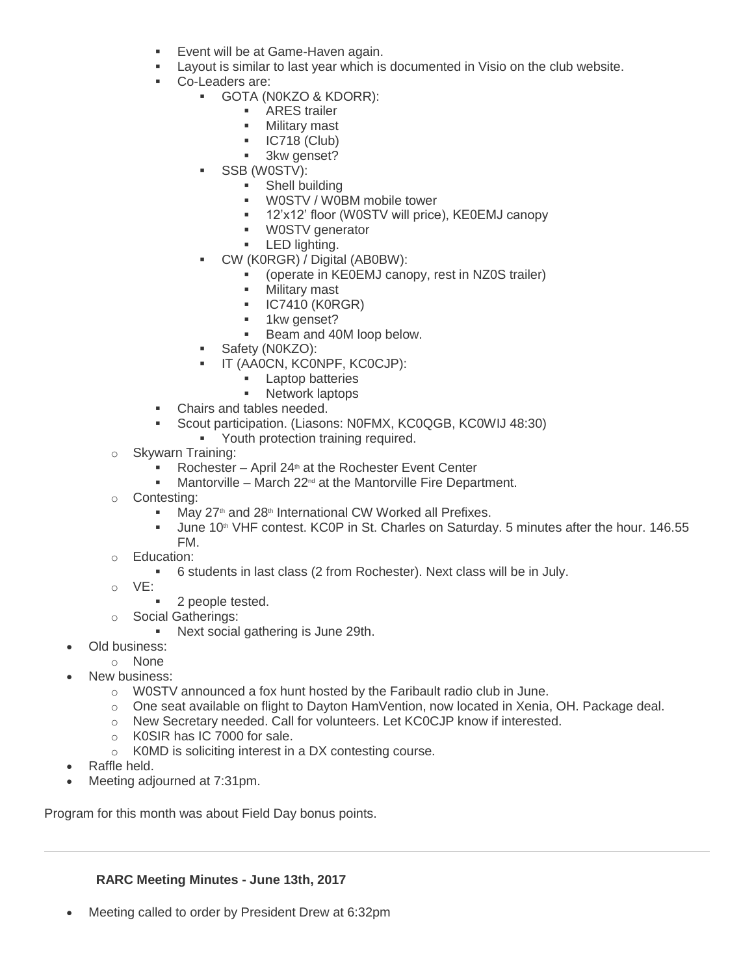- Event will be at Game-Haven again.
- Layout is similar to last year which is documented in Visio on the club website.
- Co-Leaders are:
	- GOTA (N0KZO & KDORR):
		- **-** ARES trailer
		- **-** Military mast
		- $IC718$  (Club)
		- **3kw genset?**
	- SSB (W0STV):
		- **Shell building**
		- W0STV / W0BM mobile tower
		- 12'x12' floor (W0STV will price), KE0EMJ canopy
		- W0STV generator
		- **-** LED lighting.
		- CW (K0RGR) / Digital (AB0BW):
			- (operate in KE0EMJ canopy, rest in NZ0S trailer)
			- **Military mast**
			- **IC7410 (K0RGR)**
			- **1kw genset?**
			- Beam and 40M loop below.
	- Safety (N0KZO):
		- IT (AA0CN, KC0NPF, KC0CJP):
			- **Laptop batteries**
			- **Network laptops**
- Chairs and tables needed.
- Scout participation. (Liasons: N0FMX, KC0QGB, KC0WIJ 48:30)
	- **Youth protection training required.**
- o Skywarn Training:
	- Rochester April 24<sup>th</sup> at the Rochester Event Center
	- $\blacksquare$  Mantorville March 22<sup>nd</sup> at the Mantorville Fire Department.
- o Contesting:
	- $\blacksquare$  May 27<sup>th</sup> and 28<sup>th</sup> International CW Worked all Prefixes.
	- Uune 10<sup>th</sup> VHF contest. KC0P in St. Charles on Saturday. 5 minutes after the hour. 146.55 FM.
- o Education:
	- 6 students in last class (2 from Rochester). Next class will be in July.
- o VE:
	- 2 people tested.
- o Social Gatherings:
	- **Next social gathering is June 29th.**
- Old business:
- o None
- New business:
	- $\circ$  W0STV announced a fox hunt hosted by the Faribault radio club in June.
	- o One seat available on flight to Dayton HamVention, now located in Xenia, OH. Package deal.
	- o New Secretary needed. Call for volunteers. Let KC0CJP know if interested.
	- o K0SIR has IC 7000 for sale.
	- o K0MD is soliciting interest in a DX contesting course.
- Raffle held.
- Meeting adjourned at 7:31pm.

Program for this month was about Field Day bonus points.

#### **RARC Meeting Minutes - June 13th, 2017**

Meeting called to order by President Drew at 6:32pm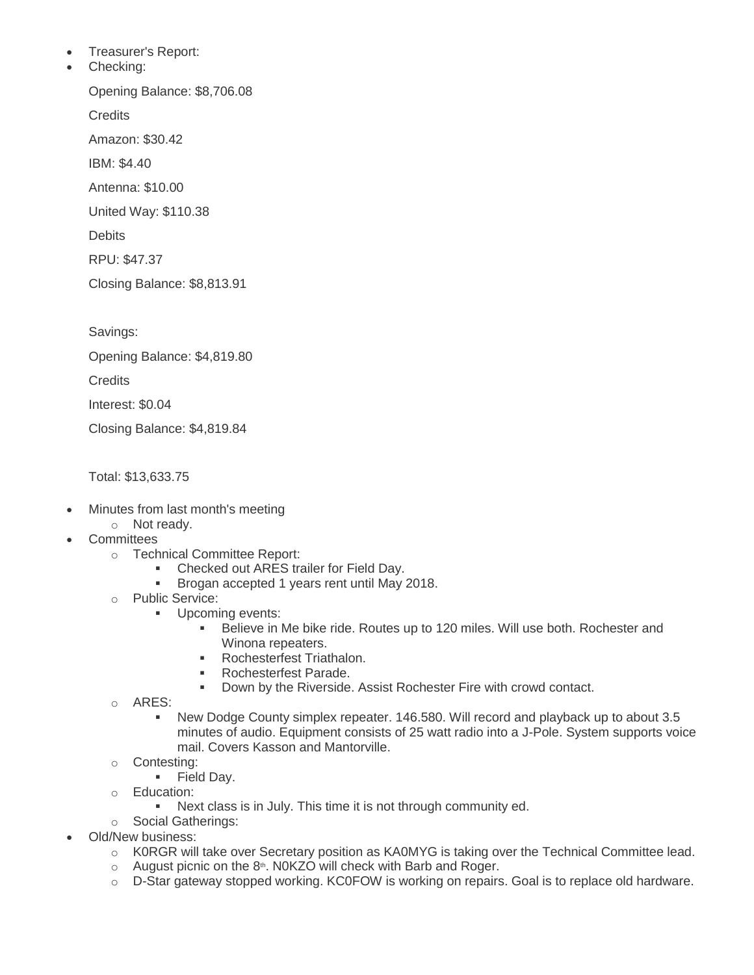- Treasurer's Report:
- Checking:

Opening Balance: \$8,706.08

**Credits** 

Amazon: \$30.42

IBM: \$4.40

Antenna: \$10.00

United Way: \$110.38

**Debits** 

RPU: \$47.37

Closing Balance: \$8,813.91

Savings:

Opening Balance: \$4,819.80

**Credits** 

Interest: \$0.04

Closing Balance: \$4,819.84

Total: \$13,633.75

- Minutes from last month's meeting
	- o Not ready.
- **Committees** 
	- o Technical Committee Report:
		- Checked out ARES trailer for Field Day.
		- **Brogan accepted 1 years rent until May 2018.**
	- o Public Service:
		- **Upcoming events:** 
			- Believe in Me bike ride. Routes up to 120 miles. Will use both. Rochester and Winona repeaters.
			- **Rochesterfest Triathalon.**
			- **Rochesterfest Parade.**
			- **Down by the Riverside. Assist Rochester Fire with crowd contact.**
	- o ARES:
		- New Dodge County simplex repeater. 146.580. Will record and playback up to about 3.5 minutes of audio. Equipment consists of 25 watt radio into a J-Pole. System supports voice mail. Covers Kasson and Mantorville.
	- o Contesting:
		- **Field Day.**
	- o Education:
		- Next class is in July. This time it is not through community ed.
	- o Social Gatherings:
- Old/New business:
	- o K0RGR will take over Secretary position as KA0MYG is taking over the Technical Committee lead.
	- $\circ$  August picnic on the 8<sup>th</sup>. N0KZO will check with Barb and Roger.
	- $\circ$  D-Star gateway stopped working. KC0FOW is working on repairs. Goal is to replace old hardware.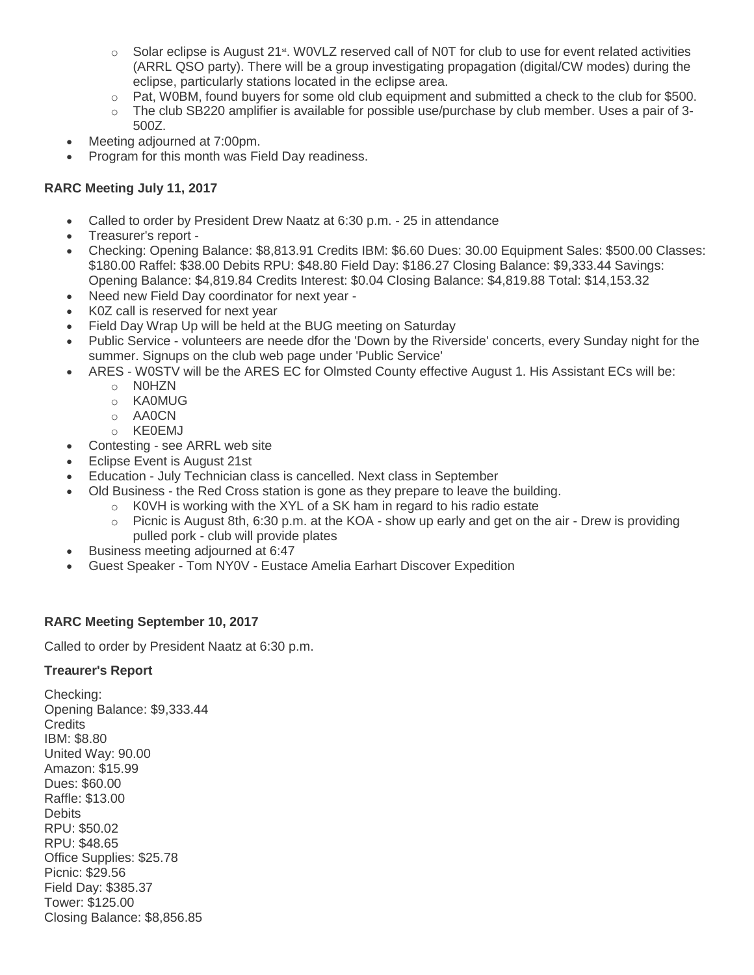- $\circ$  Solar eclipse is August 21<sup>st</sup>. WOVLZ reserved call of N0T for club to use for event related activities (ARRL QSO party). There will be a group investigating propagation (digital/CW modes) during the eclipse, particularly stations located in the eclipse area.
- $\circ$  Pat, W0BM, found buyers for some old club equipment and submitted a check to the club for \$500.
- $\circ$  The club SB220 amplifier is available for possible use/purchase by club member. Uses a pair of 3-500Z.
- Meeting adjourned at 7:00pm.
- Program for this month was Field Day readiness.

### **RARC Meeting July 11, 2017**

- Called to order by President Drew Naatz at 6:30 p.m. 25 in attendance
- Treasurer's report -
- Checking: Opening Balance: \$8,813.91 Credits IBM: \$6.60 Dues: 30.00 Equipment Sales: \$500.00 Classes: \$180.00 Raffel: \$38.00 Debits RPU: \$48.80 Field Day: \$186.27 Closing Balance: \$9,333.44 Savings: Opening Balance: \$4,819.84 Credits Interest: \$0.04 Closing Balance: \$4,819.88 Total: \$14,153.32
- Need new Field Day coordinator for next year -
- K0Z call is reserved for next year
- Field Day Wrap Up will be held at the BUG meeting on Saturday
- Public Service volunteers are neede dfor the 'Down by the Riverside' concerts, every Sunday night for the summer. Signups on the club web page under 'Public Service'
- ARES W0STV will be the ARES EC for Olmsted County effective August 1. His Assistant ECs will be:
	- o N0HZN
	- o KA0MUG
	- o AA0CN
	- o KE0EMJ
- Contesting see ARRL web site
- Eclipse Event is August 21st
- Education July Technician class is cancelled. Next class in September
- Old Business the Red Cross station is gone as they prepare to leave the building.
	- o K0VH is working with the XYL of a SK ham in regard to his radio estate
	- o Picnic is August 8th, 6:30 p.m. at the KOA show up early and get on the air Drew is providing pulled pork - club will provide plates
- Business meeting adjourned at 6:47
- Guest Speaker Tom NY0V Eustace Amelia Earhart Discover Expedition

#### **RARC Meeting September 10, 2017**

Called to order by President Naatz at 6:30 p.m.

#### **Treaurer's Report**

Checking: Opening Balance: \$9,333.44 **Credits** IBM: \$8.80 United Way: 90.00 Amazon: \$15.99 Dues: \$60.00 Raffle: \$13.00 **Debits** RPU: \$50.02 RPU: \$48.65 Office Supplies: \$25.78 Picnic: \$29.56 Field Day: \$385.37 Tower: \$125.00 Closing Balance: \$8,856.85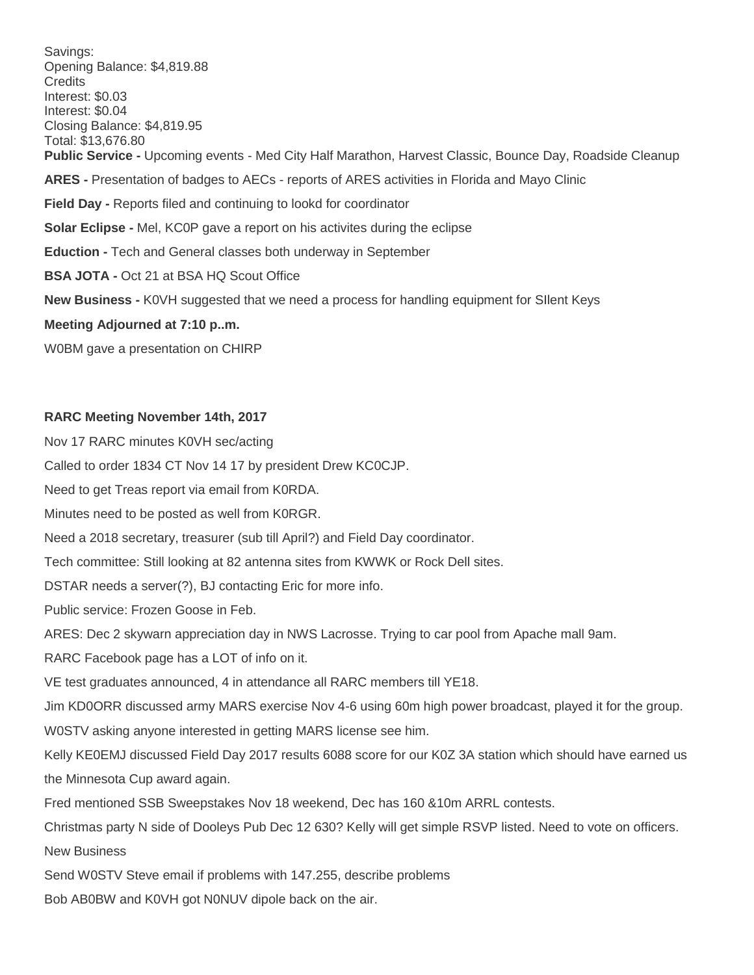Savings: Opening Balance: \$4,819.88 **Credits** Interest: \$0.03 Interest: \$0.04 Closing Balance: \$4,819.95 Total: \$13,676.80 **Public Service -** Upcoming events - Med City Half Marathon, Harvest Classic, Bounce Day, Roadside Cleanup **ARES -** Presentation of badges to AECs - reports of ARES activities in Florida and Mayo Clinic **Field Day -** Reports filed and continuing to lookd for coordinator **Solar Eclipse -** Mel, KC0P gave a report on his activites during the eclipse **Eduction -** Tech and General classes both underway in September **BSA JOTA -** Oct 21 at BSA HQ Scout Office **New Business -** K0VH suggested that we need a process for handling equipment for SIlent Keys **Meeting Adjourned at 7:10 p..m.** W0BM gave a presentation on CHIRP

#### **RARC Meeting November 14th, 2017**

Nov 17 RARC minutes K0VH sec/acting Called to order 1834 CT Nov 14 17 by president Drew KC0CJP. Need to get Treas report via email from K0RDA. Minutes need to be posted as well from K0RGR. Need a 2018 secretary, treasurer (sub till April?) and Field Day coordinator.

Tech committee: Still looking at 82 antenna sites from KWWK or Rock Dell sites.

DSTAR needs a server(?), BJ contacting Eric for more info.

Public service: Frozen Goose in Feb.

ARES: Dec 2 skywarn appreciation day in NWS Lacrosse. Trying to car pool from Apache mall 9am.

RARC Facebook page has a LOT of info on it.

VE test graduates announced, 4 in attendance all RARC members till YE18.

Jim KD0ORR discussed army MARS exercise Nov 4-6 using 60m high power broadcast, played it for the group.

W0STV asking anyone interested in getting MARS license see him.

Kelly KE0EMJ discussed Field Day 2017 results 6088 score for our K0Z 3A station which should have earned us the Minnesota Cup award again.

Fred mentioned SSB Sweepstakes Nov 18 weekend, Dec has 160 &10m ARRL contests.

Christmas party N side of Dooleys Pub Dec 12 630? Kelly will get simple RSVP listed. Need to vote on officers. New Business

Send W0STV Steve email if problems with 147.255, describe problems

Bob AB0BW and K0VH got N0NUV dipole back on the air.